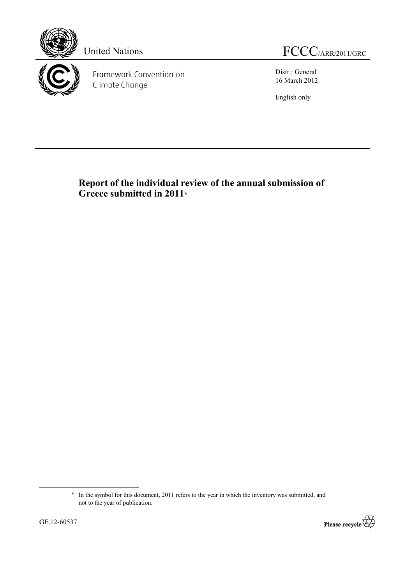



Framework Convention on Climate Change

United Nations FCCC/ARR/2011/GRC

Distr.: General 16 March 2012

English only

# **Report of the individual review of the annual submission of Greece submitted in 2011\***

<sup>\*</sup> In the symbol for this document, 2011 refers to the year in which the inventory was submitted, and not to the year of publication.



 $\overline{a}$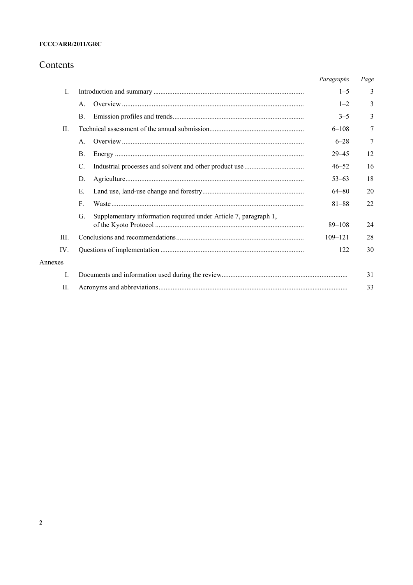# FCCC/ARR/2011/GRC

# Contents

|         |                                                                        | Paragraphs  | Page |
|---------|------------------------------------------------------------------------|-------------|------|
| I.      |                                                                        | $1 - 5$     | 3    |
|         | $\mathsf{A}$ .                                                         | $1 - 2$     | 3    |
|         | $\mathbf{B}$ .                                                         | $3 - 5$     | 3    |
| $\Pi$ . |                                                                        | $6 - 108$   | 7    |
|         | $\mathsf{A}$ .                                                         | $6 - 28$    | 7    |
|         | $\mathbf{B}$ .                                                         | $29 - 45$   | 12   |
|         | C.                                                                     | $46 - 52$   | 16   |
|         | D.                                                                     | $53 - 63$   | 18   |
|         | Е.                                                                     | $64 - 80$   | 20   |
|         | $F_{\cdot}$                                                            | $81 - 88$   | 22   |
|         | Supplementary information required under Article 7, paragraph 1,<br>G. |             |      |
|         |                                                                        | $89 - 108$  | 24   |
| III.    |                                                                        | $109 - 121$ | 28   |
| IV.     |                                                                        | 122         | 30   |
| Annexes |                                                                        |             |      |
| I.      |                                                                        |             | 31   |
| П.      |                                                                        |             | 33   |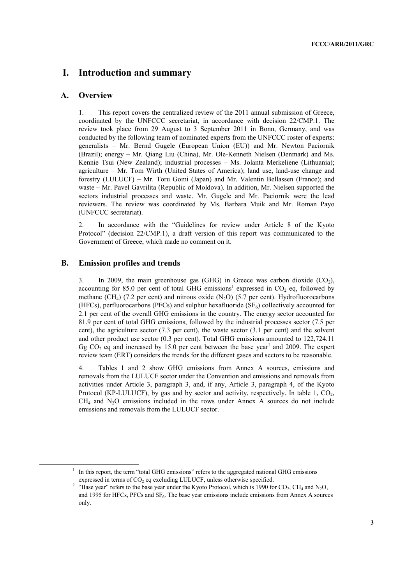# **I. Introduction and summary**

# **A. Overview**

1. This report covers the centralized review of the 2011 annual submission of Greece, coordinated by the UNFCCC secretariat, in accordance with decision 22/CMP.1. The review took place from 29 August to 3 September 2011 in Bonn, Germany, and was conducted by the following team of nominated experts from the UNFCCC roster of experts: generalists – Mr. Bernd Gugele (European Union (EU)) and Mr. Newton Paciornik (Brazil); energy – Mr. Qiang Liu (China), Mr. Ole-Kenneth Nielsen (Denmark) and Ms. Kennie Tsui (New Zealand); industrial processes – Ms. Jolanta Merkeliene (Lithuania); agriculture – Mr. Tom Wirth (United States of America); land use, land-use change and forestry (LULUCF) – Mr. Toru Gomi (Japan) and Mr. Valentin Bellassen (France); and waste – Mr. Pavel Gavrilita (Republic of Moldova). In addition, Mr. Nielsen supported the sectors industrial processes and waste. Mr. Gugele and Mr. Paciornik were the lead reviewers. The review was coordinated by Ms. Barbara Muik and Mr. Roman Payo (UNFCCC secretariat).

2. In accordance with the "Guidelines for review under Article 8 of the Kyoto Protocol" (decision 22/CMP.1), a draft version of this report was communicated to the Government of Greece, which made no comment on it.

# **B. Emission profiles and trends**

3. In 2009, the main greenhouse gas  $(GHG)$  in Greece was carbon dioxide  $(CO<sub>2</sub>)$ , accounting for 85.0 per cent of total GHG emissions<sup>1</sup> expressed in  $CO<sub>2</sub>$  eq, followed by methane (CH<sub>4</sub>) (7.2 per cent) and nitrous oxide (N<sub>2</sub>O) (5.7 per cent). Hydrofluorocarbons (HFCs), perfluorocarbons (PFCs) and sulphur hexafluoride  $(SF_6)$  collectively accounted for 2.1 per cent of the overall GHG emissions in the country. The energy sector accounted for 81.9 per cent of total GHG emissions, followed by the industrial processes sector (7.5 per cent), the agriculture sector (7.3 per cent), the waste sector (3.1 per cent) and the solvent and other product use sector (0.3 per cent). Total GHG emissions amounted to 122,724.11 Gg  $CO<sub>2</sub>$  eq and increased by 15.0 per cent between the base year<sup>2</sup> and 2009. The expert review team (ERT) considers the trends for the different gases and sectors to be reasonable.

4. Tables 1 and 2 show GHG emissions from Annex A sources, emissions and removals from the LULUCF sector under the Convention and emissions and removals from activities under Article 3, paragraph 3, and, if any, Article 3, paragraph 4, of the Kyoto Protocol (KP-LULUCF), by gas and by sector and activity, respectively. In table  $1, \text{CO}_2$ ,  $CH<sub>4</sub>$  and  $N<sub>2</sub>O$  emissions included in the rows under Annex A sources do not include emissions and removals from the LULUCF sector.

<sup>&</sup>lt;u>1</u>  $\frac{1}{1}$  In this report, the term "total GHG emissions" refers to the aggregated national GHG emissions expressed in terms of  $CO<sub>2</sub>$  eq excluding LULUCF, unless otherwise specified.

<sup>&</sup>lt;sup>2</sup> "Base year" refers to the base year under the Kyoto Protocol, which is 1990 for  $CO_2$ , CH<sub>4</sub> and N<sub>2</sub>O, and 1995 for HFCs, PFCs and SF<sub>6</sub>. The base year emissions include emissions from Annex A sources only.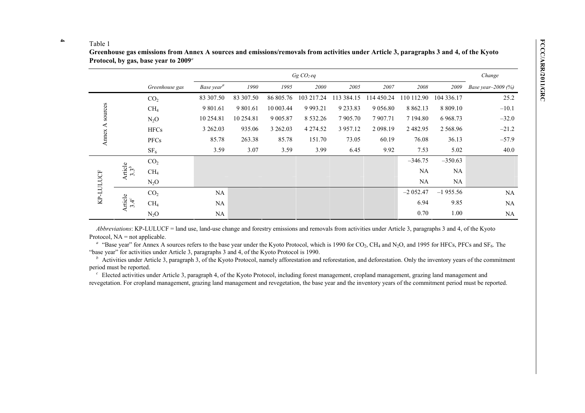|           |                             |                 |                        | Change    |           |               |            |             |               |            |                           |
|-----------|-----------------------------|-----------------|------------------------|-----------|-----------|---------------|------------|-------------|---------------|------------|---------------------------|
|           |                             | Greenhouse gas  | Base year <sup>a</sup> | 1990      | 1995      | 2000          | 2005       | 2007        | 2008          | 2009       | <i>Base year-2009 (%)</i> |
|           |                             | CO <sub>2</sub> | 83 307.50              | 83 307.50 | 86 805.76 | 103 217.24    | 113 384.15 | 114 450.24  | 110 112.90    | 104 336.17 | 25.2                      |
| sources   | CH <sub>4</sub>             |                 | 9 801.61               | 9 801.61  | 10 003.44 | 9 9 9 3.21    | 9 233.83   | 9 0 5 6 .80 | 8 8 6 2.13    | 8 809.10   | $-10.1$                   |
|           |                             | $N_2O$          | 10 254.81              | 10 254.81 | 9 005.87  | 8 5 3 2 . 2 6 | 7 905.70   | 7907.71     | 7 194.80      | 6 9 68.73  | $-32.0$                   |
| ⋖         |                             | <b>HFCs</b>     | 3 262.03               | 935.06    | 3 262.03  | 4 274.52      | 3 957.12   | 2 098.19    | 2 4 8 2 . 9 5 | 2 5 68.96  | $-21.2$                   |
| Annex     |                             | PFCs            | 85.78                  | 263.38    | 85.78     | 151.70        | 73.05      | 60.19       | 76.08         | 36.13      | $-57.9$                   |
|           |                             | SF <sub>6</sub> | 3.59                   | 3.07      | 3.59      | 3.99          | 6.45       | 9.92        | 7.53          | 5.02       | 40.0                      |
|           |                             | CO <sub>2</sub> |                        |           |           |               |            |             | $-346.75$     | $-350.63$  |                           |
| KP-LULUCF | Article<br>3.3 <sup>b</sup> | CH <sub>4</sub> |                        |           |           |               |            |             | NA            | NA         |                           |
|           |                             | $N_2O$          |                        |           |           |               |            |             | NA            | NA         |                           |
|           |                             | CO <sub>2</sub> | NA                     |           |           |               |            |             | $-2052.47$    | $-1955.56$ | NA                        |
|           | Article<br>$3.4^c$          | $CH_4$          | NA                     |           |           |               |            |             | 6.94          | 9.85       | NA                        |
|           |                             | $N_2O$          | NA                     |           |           |               |            |             | 0.70          | 1.00       | NA                        |

*Abbreviations*: KP-LULUCF = land use, land-use change and forestry emissions and removals from activities under Article 3, paragraphs 3 and 4, of the Kyoto Protocol,  $NA = not applicable$ .

<sup>a</sup> "Base year" for Annex A sources refers to the base year under the Kyoto Protocol, which is 1990 for CO<sub>2</sub>, CH<sub>4</sub> and N<sub>2</sub>O, and 1995 for HFCs, PFCs and SF<sub>6</sub>. The "base year" for activities under Article 3, paragraphs 3 and 4, of the Kyoto Protocol is 1990.

Activities under Article 3, paragraph 3, of the Kyoto Protocol, namely afforestation and reforestation, and deforestation. Only the inventory years of the commitment period must be reported.

<sup>c</sup> Elected activities under Article 3, paragraph 4, of the Kyoto Protocol, including forest management, cropland management, grazing land management and revegetation. For cropland management, grazing land management and revegetation, the base year and the inventory years of the commitment period must be reported.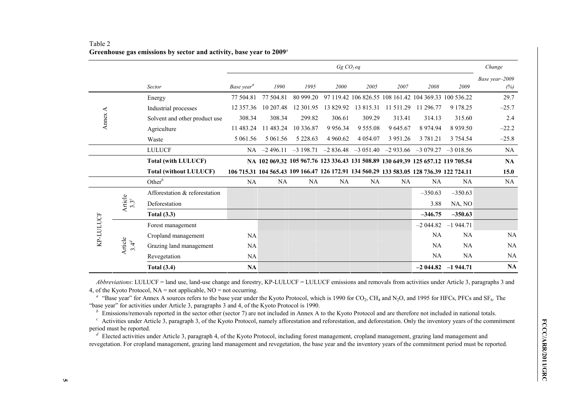|           |                      |                               | Gg CO <sub>2</sub> eq  |                                                                                         |               |               |                                                       |               | Change      |                                                        |                       |
|-----------|----------------------|-------------------------------|------------------------|-----------------------------------------------------------------------------------------|---------------|---------------|-------------------------------------------------------|---------------|-------------|--------------------------------------------------------|-----------------------|
|           |                      | Sector                        | Base year <sup>a</sup> | 1990                                                                                    | 1995          | 2000          | 2005                                                  | 2007          | 2008        | 2009                                                   | Base year-2009<br>(%) |
|           |                      | Energy                        | 77 504.81              | 77 504.81                                                                               | 80 999.20     |               | 97 119.42 106 826.55 108 161.42 104 369.33 100 536.22 |               |             |                                                        | 29.7                  |
|           |                      | Industrial processes          | 12 357.36              | 10 207.48                                                                               | 12 301.95     | 13 829.92     | 13815.31                                              | 11 511.29     | 11 296.77   | 9 1 7 8 . 2 5                                          | $-25.7$               |
| Annex $A$ |                      | Solvent and other product use | 308.34                 | 308.34                                                                                  | 299.82        | 306.61        | 309.29                                                | 313.41        | 314.13      | 315.60                                                 | 2.4                   |
|           |                      | Agriculture                   | 11 483.24              | 11 483.24                                                                               | 10 336.87     | 9 9 5 6 . 3 4 | 9 5 5 5 . 0 8                                         | 9 645.67      | 8 9 7 4 9 4 | 8 9 3 9 . 5 0                                          | $-22.2$               |
|           |                      | Waste                         | 5 061.56               | 5 061.56                                                                                | 5 2 2 8 . 6 3 | 4 9 6 0.62    | 4 0 54 0 7                                            | 3 9 5 1 . 2 6 | 3 781.21    | 3 754.54                                               | $-25.8$               |
|           |                      | <b>LULUCF</b>                 |                        | $NA$ $-2$ 496.11                                                                        | $-3198.71$    |               |                                                       |               |             | $-2836.48$ $-3051.40$ $-2933.66$ $-3079.27$ $-3018.56$ | NA                    |
|           |                      | <b>Total (with LULUCF)</b>    |                        | NA 102 069.32 105 967.76 123 336.43 131 508.89 130 649.39 125 657.12 119 705.54         |               |               |                                                       |               |             |                                                        | NA                    |
|           |                      | <b>Total (without LULUCF)</b> |                        | 106 715.31 104 565.43 109 166.47 126 172.91 134 560.29 133 583.05 128 736.39 122 724.11 |               |               |                                                       |               |             |                                                        | 15.0                  |
|           |                      | Other $^b$                    | NA                     | <b>NA</b>                                                                               | NA            | NA            | NA                                                    | NA            | NA          | <b>NA</b>                                              | NA                    |
|           | Article<br>$3.3^c$   | Afforestation & reforestation |                        |                                                                                         |               |               |                                                       |               | $-350.63$   | $-350.63$                                              |                       |
|           |                      | Deforestation                 |                        |                                                                                         |               |               |                                                       |               | 3.88        | NA, NO                                                 |                       |
| KP-LULUCF |                      | <b>Total (3.3)</b>            |                        |                                                                                         |               |               |                                                       |               | $-346.75$   | $-350.63$                                              |                       |
|           |                      | Forest management             |                        |                                                                                         |               |               |                                                       |               | $-2044.82$  | $-1944.71$                                             |                       |
|           | Article<br>$3.4^{d}$ | Cropland management           | NA                     |                                                                                         |               |               |                                                       |               | NA          | NA                                                     | NA                    |
|           |                      | Grazing land management       | <b>NA</b>              |                                                                                         |               |               |                                                       |               | <b>NA</b>   | <b>NA</b>                                              | NA                    |
|           |                      | Revegetation                  | NA                     |                                                                                         |               |               |                                                       |               | NA          | NA                                                     | NA                    |
|           |                      | <b>Total (3.4)</b>            | <b>NA</b>              |                                                                                         |               |               |                                                       |               |             | $-2044.82 -1944.71$                                    | NA                    |

# Table 2 **Greenhouse gas emissions by sector and activity, base year to 2009***<sup>a</sup>*

*Abbreviations*: LULUCF = land use, land-use change and forestry, KP-LULUCF = LULUCF emissions and removals from activities under Article 3, paragraphs 3 and 4, of the Kyoto Protocol, NA = not applicable, NO = not occurring.

<sup>a</sup> "Base year" for Annex A sources refers to the base year under the Kyoto Protocol, which is 1990 for CO<sub>2</sub>, CH<sub>4</sub> and N<sub>2</sub>O, and 1995 for HFCs, PFCs and SF<sub>6</sub>. The "base year" for activities under Article 3, paragraphs 3 and 4, of the Kyoto Protocol is 1990.

Emissions/removals reported in the sector other (sector 7) are not included in Annex A to the Kyoto Protocol and are therefore not included in national totals.

<sup>c</sup> Activities under Article 3, paragraph 3, of the Kyoto Protocol, namely afforestation and reforestation, and deforestation. Only the inventory years of the commitment period must be reported.

Factivities under Article 3, paragraph 3, of the Kyoto Protocol, namely afforestation and reforestation, and deforestation. Only the inventory years of the commitment<br>priod must be reported.<br>
<sup>d</sup> Elected activities under A <sup>*d*</sup> Elected activities under Article 3, paragraph 4, of the Kyoto Protocol, including forest management, cropland management, grazing land management and revegetation. For cropland management, grazing land management and revegetation, the base year and the inventory years of the commitment period must be reported.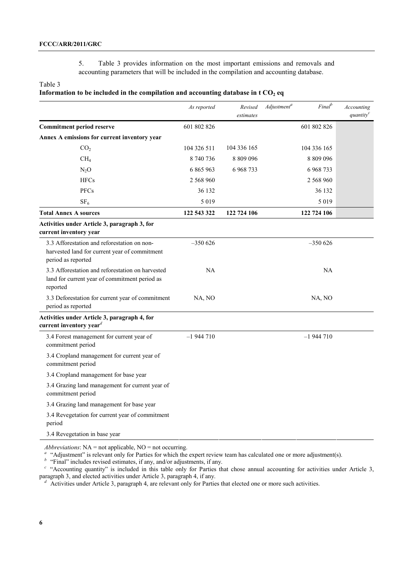5. Table 3 provides information on the most important emissions and removals and accounting parameters that will be included in the compilation and accounting database.

### Table 3

### **Information to be included in the compilation and accounting database in**  $t CO<sub>2</sub>$  **eq**

|                                                                                                                    | As reported | Revised<br>estimates | Final <sup>b</sup><br>Adjustment <sup>a</sup> | Accounting<br>$\mathit{quantity}^c$ |
|--------------------------------------------------------------------------------------------------------------------|-------------|----------------------|-----------------------------------------------|-------------------------------------|
| <b>Commitment period reserve</b>                                                                                   | 601 802 826 |                      | 601 802 826                                   |                                     |
| Annex A emissions for current inventory year                                                                       |             |                      |                                               |                                     |
| CO <sub>2</sub>                                                                                                    | 104 326 511 | 104 336 165          | 104 336 165                                   |                                     |
| CH <sub>4</sub>                                                                                                    | 8740736     | 8 809 096            | 8 809 096                                     |                                     |
| $N_2O$                                                                                                             | 6 865 963   | 6 968 733            | 6968733                                       |                                     |
| <b>HFCs</b>                                                                                                        | 2 568 960   |                      | 2 568 960                                     |                                     |
| <b>PFCs</b>                                                                                                        | 36 132      |                      | 36 132                                        |                                     |
| SF <sub>6</sub>                                                                                                    | 5 0 1 9     |                      | 5 0 1 9                                       |                                     |
| <b>Total Annex A sources</b>                                                                                       | 122 543 322 | 122 724 106          | 122 724 106                                   |                                     |
| Activities under Article 3, paragraph 3, for<br>current inventory year                                             |             |                      |                                               |                                     |
| 3.3 Afforestation and reforestation on non-<br>harvested land for current year of commitment<br>period as reported | $-350626$   |                      | $-350626$                                     |                                     |
| 3.3 Afforestation and reforestation on harvested<br>land for current year of commitment period as<br>reported      | NA          |                      | NA                                            |                                     |
| 3.3 Deforestation for current year of commitment<br>period as reported                                             | NA, NO      |                      | NA, NO                                        |                                     |
| Activities under Article 3, paragraph 4, for<br>current inventory year <sup><math>d</math></sup>                   |             |                      |                                               |                                     |
| 3.4 Forest management for current year of<br>commitment period                                                     | $-1944710$  |                      | $-1944710$                                    |                                     |
| 3.4 Cropland management for current year of<br>commitment period                                                   |             |                      |                                               |                                     |
| 3.4 Cropland management for base year                                                                              |             |                      |                                               |                                     |
| 3.4 Grazing land management for current year of<br>commitment period                                               |             |                      |                                               |                                     |
| 3.4 Grazing land management for base year                                                                          |             |                      |                                               |                                     |
| 3.4 Revegetation for current year of commitment<br>period                                                          |             |                      |                                               |                                     |
| 3.4 Revegetation in base year                                                                                      |             |                      |                                               |                                     |

Abbreviations: NA = not applicable, NO = not occurring.<br>
"Adjustment" is relevant only for Parties for which the expert review team has calculated one or more adjustment(s).<br>
"Final" includes revised estimates, if any, an paragraph 3, and elected activities under Article 3, paragraph 4, if any.<br><sup>*d*</sup> Activities under Article 3, paragraph 4, are relevant only for Parties that elected one or more such activities.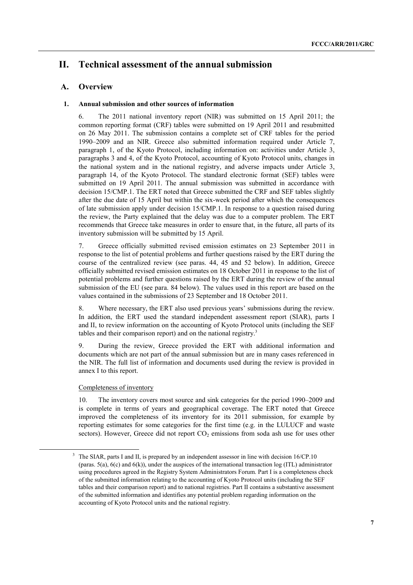# **II. Technical assessment of the annual submission**

# **A. Overview**

# **1. Annual submission and other sources of information**

6. The 2011 national inventory report (NIR) was submitted on 15 April 2011; the common reporting format (CRF) tables were submitted on 19 April 2011 and resubmitted on 26 May 2011. The submission contains a complete set of CRF tables for the period 1990–2009 and an NIR. Greece also submitted information required under Article 7, paragraph 1, of the Kyoto Protocol, including information on: activities under Article 3, paragraphs 3 and 4, of the Kyoto Protocol, accounting of Kyoto Protocol units, changes in the national system and in the national registry, and adverse impacts under Article 3, paragraph 14, of the Kyoto Protocol. The standard electronic format (SEF) tables were submitted on 19 April 2011. The annual submission was submitted in accordance with decision 15/CMP.1. The ERT noted that Greece submitted the CRF and SEF tables slightly after the due date of 15 April but within the six-week period after which the consequences of late submission apply under decision 15/CMP.1. In response to a question raised during the review, the Party explained that the delay was due to a computer problem. The ERT recommends that Greece take measures in order to ensure that, in the future, all parts of its inventory submission will be submitted by 15 April.

7. Greece officially submitted revised emission estimates on 23 September 2011 in response to the list of potential problems and further questions raised by the ERT during the course of the centralized review (see paras. 44, 45 and 52 below). In addition, Greece officially submitted revised emission estimates on 18 October 2011 in response to the list of potential problems and further questions raised by the ERT during the review of the annual submission of the EU (see para. 84 below). The values used in this report are based on the values contained in the submissions of 23 September and 18 October 2011.

8. Where necessary, the ERT also used previous years' submissions during the review. In addition, the ERT used the standard independent assessment report (SIAR), parts I and II, to review information on the accounting of Kyoto Protocol units (including the SEF tables and their comparison report) and on the national registry.<sup>3</sup>

9. During the review, Greece provided the ERT with additional information and documents which are not part of the annual submission but are in many cases referenced in the NIR. The full list of information and documents used during the review is provided in annex I to this report.

# Completeness of inventory

10. The inventory covers most source and sink categories for the period 1990–2009 and is complete in terms of years and geographical coverage. The ERT noted that Greece improved the completeness of its inventory for its 2011 submission, for example by reporting estimates for some categories for the first time (e.g. in the LULUCF and waste sectors). However, Greece did not report  $CO<sub>2</sub>$  emissions from soda ash use for uses other

 <sup>3</sup> The SIAR, parts I and II, is prepared by an independent assessor in line with decision 16/CP.10 (paras.  $5(a)$ ,  $6(c)$  and  $6(k)$ ), under the auspices of the international transaction log (ITL) administrator using procedures agreed in the Registry System Administrators Forum. Part I is a completeness check of the submitted information relating to the accounting of Kyoto Protocol units (including the SEF tables and their comparison report) and to national registries. Part II contains a substantive assessment of the submitted information and identifies any potential problem regarding information on the accounting of Kyoto Protocol units and the national registry.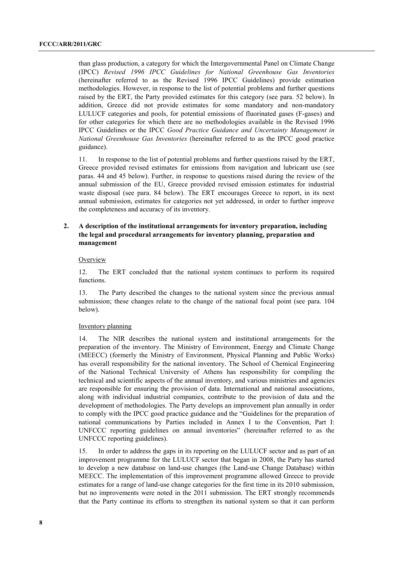than glass production, a category for which the Intergovernmental Panel on Climate Change (IPCC) *Revised 1996 IPCC Guidelines for National Greenhouse Gas Inventories* (hereinafter referred to as the Revised 1996 IPCC Guidelines) provide estimation methodologies. However, in response to the list of potential problems and further questions raised by the ERT, the Party provided estimates for this category (see para. 52 below). In addition, Greece did not provide estimates for some mandatory and non-mandatory LULUCF categories and pools, for potential emissions of fluorinated gases (F-gases) and for other categories for which there are no methodologies available in the Revised 1996 IPCC Guidelines or the IPCC *Good Practice Guidance and Uncertainty Management in National Greenhouse Gas Inventories* (hereinafter referred to as the IPCC good practice guidance).

11. In response to the list of potential problems and further questions raised by the ERT, Greece provided revised estimates for emissions from navigation and lubricant use (see paras. 44 and 45 below). Further, in response to questions raised during the review of the annual submission of the EU, Greece provided revised emission estimates for industrial waste disposal (see para. 84 below). The ERT encourages Greece to report, in its next annual submission, estimates for categories not yet addressed, in order to further improve the completeness and accuracy of its inventory.

## **2. A description of the institutional arrangements for inventory preparation, including the legal and procedural arrangements for inventory planning, preparation and management**

#### **Overview**

12. The ERT concluded that the national system continues to perform its required functions.

13. The Party described the changes to the national system since the previous annual submission; these changes relate to the change of the national focal point (see para. 104 below).

#### Inventory planning

14. The NIR describes the national system and institutional arrangements for the preparation of the inventory. The Ministry of Environment, Energy and Climate Change (MEECC) (formerly the Ministry of Environment, Physical Planning and Public Works) has overall responsibility for the national inventory. The School of Chemical Engineering of the National Technical University of Athens has responsibility for compiling the technical and scientific aspects of the annual inventory, and various ministries and agencies are responsible for ensuring the provision of data. International and national associations, along with individual industrial companies, contribute to the provision of data and the development of methodologies. The Party develops an improvement plan annually in order to comply with the IPCC good practice guidance and the "Guidelines for the preparation of national communications by Parties included in Annex I to the Convention, Part I: UNFCCC reporting guidelines on annual inventories" (hereinafter referred to as the UNFCCC reporting guidelines).

15. In order to address the gaps in its reporting on the LULUCF sector and as part of an improvement programme for the LULUCF sector that began in 2008, the Party has started to develop a new database on land-use changes (the Land-use Change Database) within MEECC. The implementation of this improvement programme allowed Greece to provide estimates for a range of land-use change categories for the first time in its 2010 submission, but no improvements were noted in the 2011 submission. The ERT strongly recommends that the Party continue its efforts to strengthen its national system so that it can perform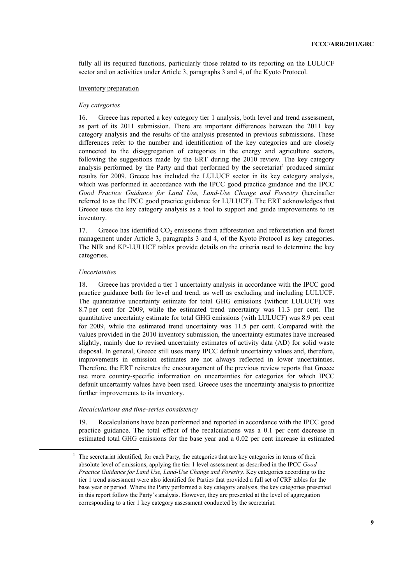fully all its required functions, particularly those related to its reporting on the LULUCF sector and on activities under Article 3, paragraphs 3 and 4, of the Kyoto Protocol.

#### Inventory preparation

#### *Key categories*

16. Greece has reported a key category tier 1 analysis, both level and trend assessment, as part of its 2011 submission. There are important differences between the 2011 key category analysis and the results of the analysis presented in previous submissions. These differences refer to the number and identification of the key categories and are closely connected to the disaggregation of categories in the energy and agriculture sectors, following the suggestions made by the ERT during the 2010 review. The key category analysis performed by the Party and that performed by the secretariat<sup>4</sup> produced similar results for 2009. Greece has included the LULUCF sector in its key category analysis, which was performed in accordance with the IPCC good practice guidance and the IPCC *Good Practice Guidance for Land Use, Land-Use Change and Forestry* (hereinafter referred to as the IPCC good practice guidance for LULUCF). The ERT acknowledges that Greece uses the key category analysis as a tool to support and guide improvements to its inventory.

17. Greece has identified  $CO<sub>2</sub>$  emissions from afforestation and reforestation and forest management under Article 3, paragraphs 3 and 4, of the Kyoto Protocol as key categories. The NIR and KP-LULUCF tables provide details on the criteria used to determine the key categories.

#### *Uncertainties*

18. Greece has provided a tier 1 uncertainty analysis in accordance with the IPCC good practice guidance both for level and trend, as well as excluding and including LULUCF. The quantitative uncertainty estimate for total GHG emissions (without LULUCF) was 8.7 per cent for 2009, while the estimated trend uncertainty was 11.3 per cent. The quantitative uncertainty estimate for total GHG emissions (with LULUCF) was 8.9 per cent for 2009, while the estimated trend uncertainty was 11.5 per cent. Compared with the values provided in the 2010 inventory submission, the uncertainty estimates have increased slightly, mainly due to revised uncertainty estimates of activity data (AD) for solid waste disposal. In general, Greece still uses many IPCC default uncertainty values and, therefore, improvements in emission estimates are not always reflected in lower uncertainties. Therefore, the ERT reiterates the encouragement of the previous review reports that Greece use more country-specific information on uncertainties for categories for which IPCC default uncertainty values have been used. Greece uses the uncertainty analysis to prioritize further improvements to its inventory.

#### *Recalculations and time-series consistency*

19. Recalculations have been performed and reported in accordance with the IPCC good practice guidance. The total effect of the recalculations was a 0.1 per cent decrease in estimated total GHG emissions for the base year and a 0.02 per cent increase in estimated

 <sup>4</sup> The secretariat identified, for each Party, the categories that are key categories in terms of their absolute level of emissions, applying the tier 1 level assessment as described in the IPCC *Good Practice Guidance for Land Use, Land-Use Change and Forestry*. Key categories according to the tier 1 trend assessment were also identified for Parties that provided a full set of CRF tables for the base year or period. Where the Party performed a key category analysis, the key categories presented in this report follow the Party's analysis. However, they are presented at the level of aggregation corresponding to a tier 1 key category assessment conducted by the secretariat.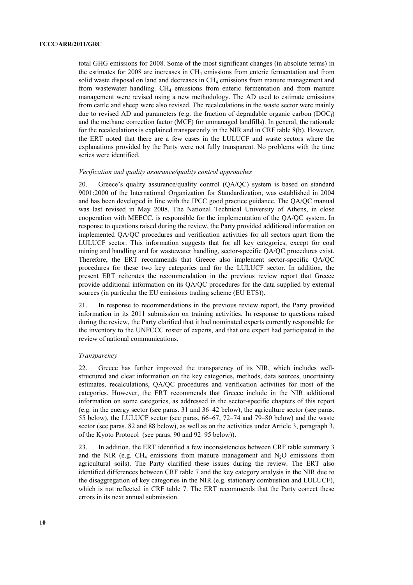total GHG emissions for 2008. Some of the most significant changes (in absolute terms) in the estimates for  $2008$  are increases in  $CH_4$  emissions from enteric fermentation and from solid waste disposal on land and decreases in CH<sub>4</sub> emissions from manure management and from wastewater handling.  $CH_4$  emissions from enteric fermentation and from manure management were revised using a new methodology. The AD used to estimate emissions from cattle and sheep were also revised. The recalculations in the waste sector were mainly due to revised AD and parameters (e.g. the fraction of degradable organic carbon ( $DOC<sub>f</sub>$ ) and the methane correction factor (MCF) for unmanaged landfills). In general, the rationale for the recalculations is explained transparently in the NIR and in CRF table 8(b). However, the ERT noted that there are a few cases in the LULUCF and waste sectors where the explanations provided by the Party were not fully transparent. No problems with the time series were identified.

#### *Verification and quality assurance/quality control approaches*

20. Greece's quality assurance/quality control (QA/QC) system is based on standard 9001:2000 of the International Organization for Standardization, was established in 2004 and has been developed in line with the IPCC good practice guidance. The QA/QC manual was last revised in May 2008. The National Technical University of Athens, in close cooperation with MEECC, is responsible for the implementation of the QA/QC system. In response to questions raised during the review, the Party provided additional information on implemented QA/QC procedures and verification activities for all sectors apart from the LULUCF sector. This information suggests that for all key categories, except for coal mining and handling and for wastewater handling, sector-specific QA/QC procedures exist. Therefore, the ERT recommends that Greece also implement sector-specific QA/QC procedures for these two key categories and for the LULUCF sector. In addition, the present ERT reiterates the recommendation in the previous review report that Greece provide additional information on its QA/QC procedures for the data supplied by external sources (in particular the EU emissions trading scheme (EU ETS)).

21. In response to recommendations in the previous review report, the Party provided information in its 2011 submission on training activities. In response to questions raised during the review, the Party clarified that it had nominated experts currently responsible for the inventory to the UNFCCC roster of experts, and that one expert had participated in the review of national communications.

#### *Transparency*

22. Greece has further improved the transparency of its NIR, which includes wellstructured and clear information on the key categories, methods, data sources, uncertainty estimates, recalculations, QA/QC procedures and verification activities for most of the categories. However, the ERT recommends that Greece include in the NIR additional information on some categories, as addressed in the sector-specific chapters of this report (e.g. in the energy sector (see paras. 31 and 36–42 below), the agriculture sector (see paras. 55 below), the LULUCF sector (see paras. 66–67, 72–74 and 79–80 below) and the waste sector (see paras. 82 and 88 below), as well as on the activities under Article 3, paragraph 3, of the Kyoto Protocol (see paras. 90 and 92–95 below)).

23. In addition, the ERT identified a few inconsistencies between CRF table summary 3 and the NIR (e.g.  $CH_4$  emissions from manure management and  $N_2O$  emissions from agricultural soils). The Party clarified these issues during the review. The ERT also identified differences between CRF table 7 and the key category analysis in the NIR due to the disaggregation of key categories in the NIR (e.g. stationary combustion and LULUCF), which is not reflected in CRF table 7. The ERT recommends that the Party correct these errors in its next annual submission.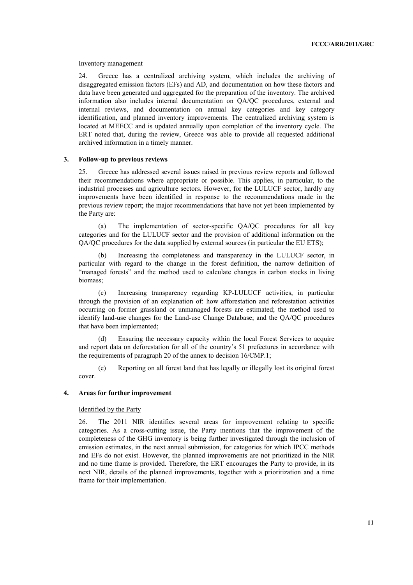#### Inventory management

24. Greece has a centralized archiving system, which includes the archiving of disaggregated emission factors (EFs) and AD, and documentation on how these factors and data have been generated and aggregated for the preparation of the inventory. The archived information also includes internal documentation on QA/QC procedures, external and internal reviews, and documentation on annual key categories and key category identification, and planned inventory improvements. The centralized archiving system is located at MEECC and is updated annually upon completion of the inventory cycle. The ERT noted that, during the review, Greece was able to provide all requested additional archived information in a timely manner.

#### **3. Follow-up to previous reviews**

25. Greece has addressed several issues raised in previous review reports and followed their recommendations where appropriate or possible. This applies, in particular, to the industrial processes and agriculture sectors. However, for the LULUCF sector, hardly any improvements have been identified in response to the recommendations made in the previous review report; the major recommendations that have not yet been implemented by the Party are:

 (a) The implementation of sector-specific QA/QC procedures for all key categories and for the LULUCF sector and the provision of additional information on the QA/QC procedures for the data supplied by external sources (in particular the EU ETS);

Increasing the completeness and transparency in the LULUCF sector, in particular with regard to the change in the forest definition, the narrow definition of "managed forests" and the method used to calculate changes in carbon stocks in living biomass;

 (c) Increasing transparency regarding KP-LULUCF activities, in particular through the provision of an explanation of: how afforestation and reforestation activities occurring on former grassland or unmanaged forests are estimated; the method used to identify land-use changes for the Land-use Change Database; and the QA/QC procedures that have been implemented;

Ensuring the necessary capacity within the local Forest Services to acquire and report data on deforestation for all of the country's 51 prefectures in accordance with the requirements of paragraph 20 of the annex to decision 16/CMP.1;

 (e) Reporting on all forest land that has legally or illegally lost its original forest cover.

#### **4. Areas for further improvement**

#### Identified by the Party

26. The 2011 NIR identifies several areas for improvement relating to specific categories. As a cross-cutting issue, the Party mentions that the improvement of the completeness of the GHG inventory is being further investigated through the inclusion of emission estimates, in the next annual submission, for categories for which IPCC methods and EFs do not exist. However, the planned improvements are not prioritized in the NIR and no time frame is provided. Therefore, the ERT encourages the Party to provide, in its next NIR, details of the planned improvements, together with a prioritization and a time frame for their implementation.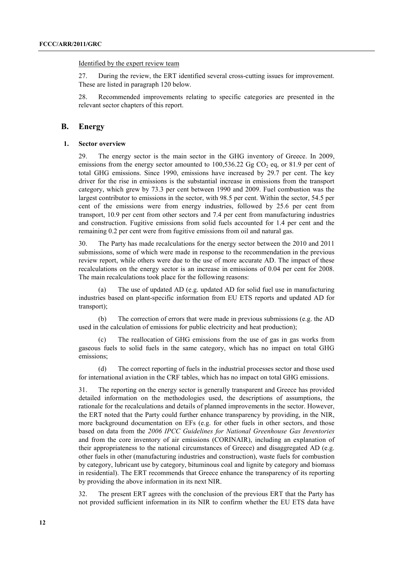Identified by the expert review team

27. During the review, the ERT identified several cross-cutting issues for improvement. These are listed in paragraph 120 below.

28. Recommended improvements relating to specific categories are presented in the relevant sector chapters of this report.

#### **B. Energy**

#### **1. Sector overview**

29. The energy sector is the main sector in the GHG inventory of Greece. In 2009, emissions from the energy sector amounted to  $100,536.22$  Gg CO<sub>2</sub> eq, or 81.9 per cent of total GHG emissions. Since 1990, emissions have increased by 29.7 per cent. The key driver for the rise in emissions is the substantial increase in emissions from the transport category, which grew by 73.3 per cent between 1990 and 2009. Fuel combustion was the largest contributor to emissions in the sector, with 98.5 per cent. Within the sector, 54.5 per cent of the emissions were from energy industries, followed by 25.6 per cent from transport, 10.9 per cent from other sectors and 7.4 per cent from manufacturing industries and construction. Fugitive emissions from solid fuels accounted for 1.4 per cent and the remaining 0.2 per cent were from fugitive emissions from oil and natural gas.

30. The Party has made recalculations for the energy sector between the 2010 and 2011 submissions, some of which were made in response to the recommendation in the previous review report, while others were due to the use of more accurate AD. The impact of these recalculations on the energy sector is an increase in emissions of 0.04 per cent for 2008. The main recalculations took place for the following reasons:

 (a) The use of updated AD (e.g. updated AD for solid fuel use in manufacturing industries based on plant-specific information from EU ETS reports and updated AD for transport);

 (b) The correction of errors that were made in previous submissions (e.g. the AD used in the calculation of emissions for public electricity and heat production);

 (c) The reallocation of GHG emissions from the use of gas in gas works from gaseous fuels to solid fuels in the same category, which has no impact on total GHG emissions;

 (d) The correct reporting of fuels in the industrial processes sector and those used for international aviation in the CRF tables, which has no impact on total GHG emissions.

31. The reporting on the energy sector is generally transparent and Greece has provided detailed information on the methodologies used, the descriptions of assumptions, the rationale for the recalculations and details of planned improvements in the sector. However, the ERT noted that the Party could further enhance transparency by providing, in the NIR, more background documentation on EFs (e.g. for other fuels in other sectors, and those based on data from the *2006 IPCC Guidelines for National Greenhouse Gas Inventories* and from the core inventory of air emissions (CORINAIR), including an explanation of their appropriateness to the national circumstances of Greece) and disaggregated AD (e.g. other fuels in other (manufacturing industries and construction), waste fuels for combustion by category, lubricant use by category, bituminous coal and lignite by category and biomass in residential). The ERT recommends that Greece enhance the transparency of its reporting by providing the above information in its next NIR.

32. The present ERT agrees with the conclusion of the previous ERT that the Party has not provided sufficient information in its NIR to confirm whether the EU ETS data have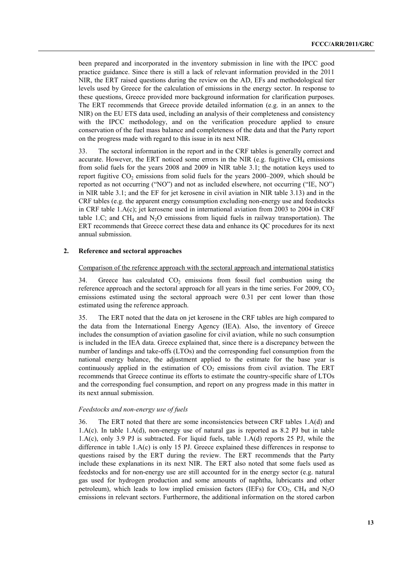been prepared and incorporated in the inventory submission in line with the IPCC good practice guidance. Since there is still a lack of relevant information provided in the 2011 NIR, the ERT raised questions during the review on the AD, EFs and methodological tier levels used by Greece for the calculation of emissions in the energy sector. In response to these questions, Greece provided more background information for clarification purposes. The ERT recommends that Greece provide detailed information (e.g. in an annex to the NIR) on the EU ETS data used, including an analysis of their completeness and consistency with the IPCC methodology, and on the verification procedure applied to ensure conservation of the fuel mass balance and completeness of the data and that the Party report on the progress made with regard to this issue in its next NIR.

33. The sectoral information in the report and in the CRF tables is generally correct and accurate. However, the ERT noticed some errors in the NIR (e.g. fugitive  $CH_4$  emissions from solid fuels for the years 2008 and 2009 in NIR table 3.1; the notation keys used to report fugitive  $CO_2$  emissions from solid fuels for the years 2000–2009, which should be reported as not occurring ("NO") and not as included elsewhere, not occurring ("IE, NO") in NIR table 3.1; and the EF for jet kerosene in civil aviation in NIR table 3.13) and in the CRF tables (e.g. the apparent energy consumption excluding non-energy use and feedstocks in CRF table 1.A(c); jet kerosene used in international aviation from 2003 to 2004 in CRF table 1.C; and CH<sub>4</sub> and N<sub>2</sub>O emissions from liquid fuels in railway transportation). The ERT recommends that Greece correct these data and enhance its QC procedures for its next annual submission.

#### **2. Reference and sectoral approaches**

#### Comparison of the reference approach with the sectoral approach and international statistics

34. Greece has calculated CO<sub>2</sub> emissions from fossil fuel combustion using the reference approach and the sectoral approach for all years in the time series. For  $2009$ ,  $CO<sub>2</sub>$ emissions estimated using the sectoral approach were 0.31 per cent lower than those estimated using the reference approach.

35. The ERT noted that the data on jet kerosene in the CRF tables are high compared to the data from the International Energy Agency (IEA). Also, the inventory of Greece includes the consumption of aviation gasoline for civil aviation, while no such consumption is included in the IEA data. Greece explained that, since there is a discrepancy between the number of landings and take-offs (LTOs) and the corresponding fuel consumption from the national energy balance, the adjustment applied to the estimate for the base year is continuously applied in the estimation of  $CO<sub>2</sub>$  emissions from civil aviation. The ERT recommends that Greece continue its efforts to estimate the country-specific share of LTOs and the corresponding fuel consumption, and report on any progress made in this matter in its next annual submission.

#### *Feedstocks and non-energy use of fuels*

36. The ERT noted that there are some inconsistencies between CRF tables 1.A(d) and 1.A(c). In table 1.A(d), non-energy use of natural gas is reported as 8.2 PJ but in table 1.A(c), only 3.9 PJ is subtracted. For liquid fuels, table 1.A(d) reports 25 PJ, while the difference in table  $1.A(c)$  is only 15 PJ. Greece explained these differences in response to questions raised by the ERT during the review. The ERT recommends that the Party include these explanations in its next NIR. The ERT also noted that some fuels used as feedstocks and for non-energy use are still accounted for in the energy sector (e.g. natural gas used for hydrogen production and some amounts of naphtha, lubricants and other petroleum), which leads to low implied emission factors (IEFs) for  $CO<sub>2</sub>$ , CH<sub>4</sub> and N<sub>2</sub>O emissions in relevant sectors. Furthermore, the additional information on the stored carbon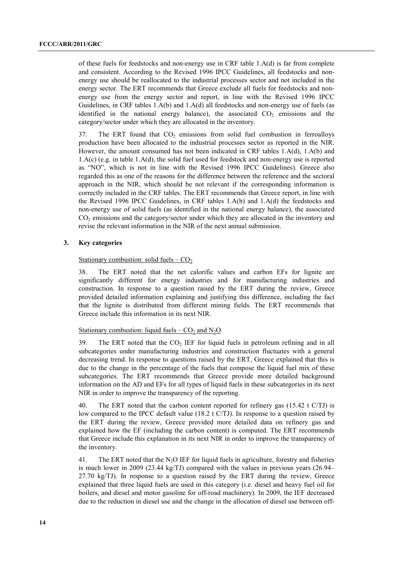of these fuels for feedstocks and non-energy use in CRF table 1.A(d) is far from complete and consistent. According to the Revised 1996 IPCC Guidelines, all feedstocks and nonenergy use should be reallocated to the industrial processes sector and not included in the energy sector. The ERT recommends that Greece exclude all fuels for feedstocks and nonenergy use from the energy sector and report, in line with the Revised 1996 IPCC Guidelines, in CRF tables 1.A(b) and 1.A(d) all feedstocks and non-energy use of fuels (as identified in the national energy balance), the associated  $CO<sub>2</sub>$  emissions and the category/sector under which they are allocated in the inventory.

37. The ERT found that CO<sub>2</sub> emissions from solid fuel combustion in ferroalloys production have been allocated to the industrial processes sector as reported in the NIR. However, the amount consumed has not been indicated in CRF tables 1.A(d), 1.A(b) and 1.A(c) (e.g. in table 1.A(d), the solid fuel used for feedstock and non-energy use is reported as "NO", which is not in line with the Revised 1996 IPCC Guidelines). Greece also regarded this as one of the reasons for the difference between the reference and the sectoral approach in the NIR, which should be not relevant if the corresponding information is correctly included in the CRF tables. The ERT recommends that Greece report, in line with the Revised 1996 IPCC Guidelines, in CRF tables 1.A(b) and 1.A(d) the feedstocks and non-energy use of solid fuels (as identified in the national energy balance), the associated CO<sub>2</sub> emissions and the category/sector under which they are allocated in the inventory and revise the relevant information in the NIR of the next annual submission.

#### **3. Key categories**

#### Stationary combustion: solid fuels  $-$  CO<sub>2</sub>

38. The ERT noted that the net calorific values and carbon EFs for lignite are significantly different for energy industries and for manufacturing industries and construction. In response to a question raised by the ERT during the review, Greece provided detailed information explaining and justifying this difference, including the fact that the lignite is distributed from different mining fields. The ERT recommends that Greece include this information in its next NIR.

### Stationary combustion: liquid fuels –  $CO<sub>2</sub>$  and N<sub>2</sub>O

39. The ERT noted that the  $CO<sub>2</sub> IEF$  for liquid fuels in petroleum refining and in all subcategories under manufacturing industries and construction fluctuates with a general decreasing trend. In response to questions raised by the ERT, Greece explained that this is due to the change in the percentage of the fuels that compose the liquid fuel mix of these subcategories. The ERT recommends that Greece provide more detailed background information on the AD and EFs for all types of liquid fuels in these subcategories in its next NIR in order to improve the transparency of the reporting.

40. The ERT noted that the carbon content reported for refinery gas (15.42 t C/TJ) is low compared to the IPCC default value (18.2 t C/TJ). In response to a question raised by the ERT during the review, Greece provided more detailed data on refinery gas and explained how the EF (including the carbon content) is computed. The ERT recommends that Greece include this explanation in its next NIR in order to improve the transparency of the inventory.

41. The ERT noted that the N<sub>2</sub>O IEF for liquid fuels in agriculture, forestry and fisheries is much lower in 2009 (23.44 kg/TJ) compared with the values in previous years  $(26.94-$ 27.70 kg/TJ). In response to a question raised by the ERT during the review, Greece explained that three liquid fuels are used in this category (i.e. diesel and heavy fuel oil for boilers, and diesel and motor gasoline for off-road machinery). In 2009, the IEF decreased due to the reduction in diesel use and the change in the allocation of diesel use between off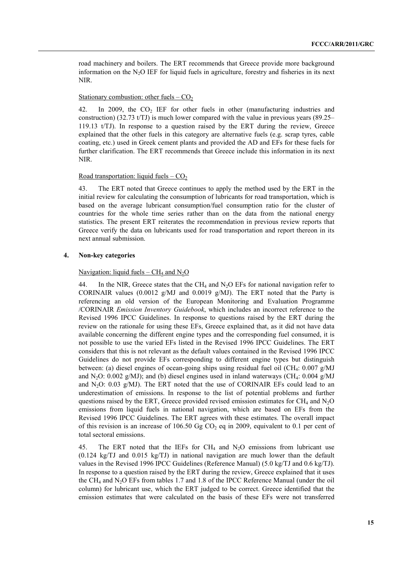road machinery and boilers. The ERT recommends that Greece provide more background information on the  $N_2O$  IEF for liquid fuels in agriculture, forestry and fisheries in its next NIR.

#### Stationary combustion: other fuels  $-$  CO<sub>2</sub>

42. In 2009, the CO<sub>2</sub> IEF for other fuels in other (manufacturing industries and construction)  $(32.73 \text{ t/T})$  is much lower compared with the value in previous years  $(89.25-$ 119.13 t/TJ). In response to a question raised by the ERT during the review, Greece explained that the other fuels in this category are alternative fuels (e.g. scrap tyres, cable coating, etc.) used in Greek cement plants and provided the AD and EFs for these fuels for further clarification. The ERT recommends that Greece include this information in its next NIR.

#### Road transportation: liquid fuels  $-CO<sub>2</sub>$

43. The ERT noted that Greece continues to apply the method used by the ERT in the initial review for calculating the consumption of lubricants for road transportation, which is based on the average lubricant consumption/fuel consumption ratio for the cluster of countries for the whole time series rather than on the data from the national energy statistics. The present ERT reiterates the recommendation in previous review reports that Greece verify the data on lubricants used for road transportation and report thereon in its next annual submission.

#### **4. Non-key categories**

#### Navigation: liquid fuels –  $CH_4$  and  $N_2O$

44. In the NIR, Greece states that the CH<sub>4</sub> and N<sub>2</sub>O EFs for national navigation refer to CORINAIR values (0.0012 g/MJ and 0.0019 g/MJ). The ERT noted that the Party is referencing an old version of the European Monitoring and Evaluation Programme /CORINAIR *Emission Inventory Guidebook*, which includes an incorrect reference to the Revised 1996 IPCC Guidelines. In response to questions raised by the ERT during the review on the rationale for using these EFs, Greece explained that, as it did not have data available concerning the different engine types and the corresponding fuel consumed, it is not possible to use the varied EFs listed in the Revised 1996 IPCC Guidelines. The ERT considers that this is not relevant as the default values contained in the Revised 1996 IPCC Guidelines do not provide EFs corresponding to different engine types but distinguish between: (a) diesel engines of ocean-going ships using residual fuel oil (CH<sub>4</sub>: 0.007 g/MJ and N<sub>2</sub>O: 0.002 g/MJ); and (b) diesel engines used in inland waterways (CH<sub>4</sub>: 0.004 g/MJ and  $N_2O$ : 0.03 g/MJ). The ERT noted that the use of CORINAIR EFs could lead to an underestimation of emissions. In response to the list of potential problems and further questions raised by the ERT, Greece provided revised emission estimates for  $CH_4$  and  $N_2O$ emissions from liquid fuels in national navigation, which are based on EFs from the Revised 1996 IPCC Guidelines. The ERT agrees with these estimates. The overall impact of this revision is an increase of 106.50 Gg  $CO<sub>2</sub>$  eq in 2009, equivalent to 0.1 per cent of total sectoral emissions.

45. The ERT noted that the IEFs for  $CH_4$  and  $N_2O$  emissions from lubricant use (0.124 kg/TJ and 0.015 kg/TJ) in national navigation are much lower than the default values in the Revised 1996 IPCC Guidelines (Reference Manual) (5.0 kg/TJ and 0.6 kg/TJ). In response to a question raised by the ERT during the review, Greece explained that it uses the CH<sub>4</sub> and N<sub>2</sub>O EFs from tables 1.7 and 1.8 of the IPCC Reference Manual (under the oil column) for lubricant use, which the ERT judged to be correct. Greece identified that the emission estimates that were calculated on the basis of these EFs were not transferred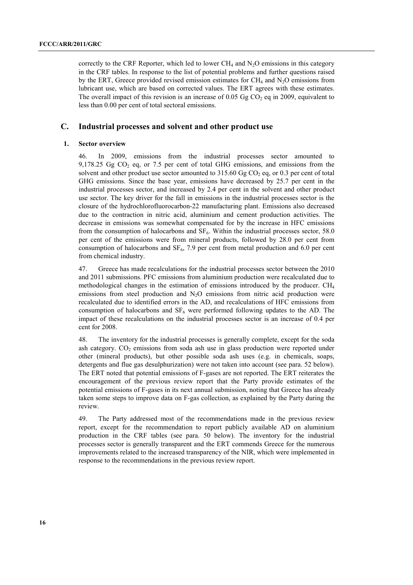correctly to the CRF Reporter, which led to lower CH<sub>4</sub> and  $N<sub>2</sub>O$  emissions in this category in the CRF tables. In response to the list of potential problems and further questions raised by the ERT, Greece provided revised emission estimates for  $CH_4$  and  $N_2O$  emissions from lubricant use, which are based on corrected values. The ERT agrees with these estimates. The overall impact of this revision is an increase of 0.05 Gg  $CO<sub>2</sub>$  eq in 2009, equivalent to less than 0.00 per cent of total sectoral emissions.

# **C. Industrial processes and solvent and other product use**

#### **1. Sector overview**

46. In 2009, emissions from the industrial processes sector amounted to 9,178.25 Gg  $CO<sub>2</sub>$  eq, or 7.5 per cent of total GHG emissions, and emissions from the solvent and other product use sector amounted to  $315.60$  Gg CO<sub>2</sub> eq, or 0.3 per cent of total GHG emissions. Since the base year, emissions have decreased by 25.7 per cent in the industrial processes sector, and increased by 2.4 per cent in the solvent and other product use sector. The key driver for the fall in emissions in the industrial processes sector is the closure of the hydrochlorofluorocarbon-22 manufacturing plant. Emissions also decreased due to the contraction in nitric acid, aluminium and cement production activities. The decrease in emissions was somewhat compensated for by the increase in HFC emissions from the consumption of halocarbons and  $SF_6$ . Within the industrial processes sector, 58.0 per cent of the emissions were from mineral products, followed by 28.0 per cent from consumption of halocarbons and  $SF_6$ , 7.9 per cent from metal production and 6.0 per cent from chemical industry.

47. Greece has made recalculations for the industrial processes sector between the 2010 and 2011 submissions. PFC emissions from aluminium production were recalculated due to methodological changes in the estimation of emissions introduced by the producer.  $CH<sub>4</sub>$ emissions from steel production and  $N<sub>2</sub>O$  emissions from nitric acid production were recalculated due to identified errors in the AD, and recalculations of HFC emissions from consumption of halocarbons and  $SF<sub>6</sub>$  were performed following updates to the AD. The impact of these recalculations on the industrial processes sector is an increase of 0.4 per cent for 2008.

48. The inventory for the industrial processes is generally complete, except for the soda ash category.  $CO<sub>2</sub>$  emissions from soda ash use in glass production were reported under other (mineral products), but other possible soda ash uses (e.g. in chemicals, soaps, detergents and flue gas desulphurization) were not taken into account (see para. 52 below). The ERT noted that potential emissions of F-gases are not reported. The ERT reiterates the encouragement of the previous review report that the Party provide estimates of the potential emissions of F-gases in its next annual submission, noting that Greece has already taken some steps to improve data on F-gas collection, as explained by the Party during the review.

49. The Party addressed most of the recommendations made in the previous review report, except for the recommendation to report publicly available AD on aluminium production in the CRF tables (see para. 50 below). The inventory for the industrial processes sector is generally transparent and the ERT commends Greece for the numerous improvements related to the increased transparency of the NIR, which were implemented in response to the recommendations in the previous review report.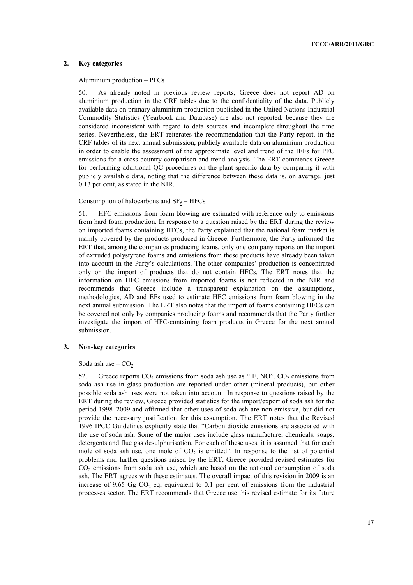#### **2. Key categories**

## Aluminium production – PFCs

50. As already noted in previous review reports, Greece does not report AD on aluminium production in the CRF tables due to the confidentiality of the data. Publicly available data on primary aluminium production published in the United Nations Industrial Commodity Statistics (Yearbook and Database) are also not reported, because they are considered inconsistent with regard to data sources and incomplete throughout the time series. Nevertheless, the ERT reiterates the recommendation that the Party report, in the CRF tables of its next annual submission, publicly available data on aluminium production in order to enable the assessment of the approximate level and trend of the IEFs for PFC emissions for a cross-country comparison and trend analysis. The ERT commends Greece for performing additional QC procedures on the plant-specific data by comparing it with publicly available data, noting that the difference between these data is, on average, just 0.13 per cent, as stated in the NIR.

# Consumption of halocarbons and  $SF_6 - HFCs$

51. HFC emissions from foam blowing are estimated with reference only to emissions from hard foam production. In response to a question raised by the ERT during the review on imported foams containing HFCs, the Party explained that the national foam market is mainly covered by the products produced in Greece. Furthermore, the Party informed the ERT that, among the companies producing foams, only one company reports on the import of extruded polystyrene foams and emissions from these products have already been taken into account in the Party's calculations. The other companies' production is concentrated only on the import of products that do not contain HFCs. The ERT notes that the information on HFC emissions from imported foams is not reflected in the NIR and recommends that Greece include a transparent explanation on the assumptions, methodologies, AD and EFs used to estimate HFC emissions from foam blowing in the next annual submission. The ERT also notes that the import of foams containing HFCs can be covered not only by companies producing foams and recommends that the Party further investigate the import of HFC-containing foam products in Greece for the next annual submission.

#### **3. Non-key categories**

#### Soda ash use  $-CO<sub>2</sub>$

52. Greece reports  $CO_2$  emissions from soda ash use as "IE, NO".  $CO_2$  emissions from soda ash use in glass production are reported under other (mineral products), but other possible soda ash uses were not taken into account. In response to questions raised by the ERT during the review, Greece provided statistics for the import/export of soda ash for the period 1998–2009 and affirmed that other uses of soda ash are non-emissive, but did not provide the necessary justification for this assumption. The ERT notes that the Revised 1996 IPCC Guidelines explicitly state that "Carbon dioxide emissions are associated with the use of soda ash. Some of the major uses include glass manufacture, chemicals, soaps, detergents and flue gas desulphurisation. For each of these uses, it is assumed that for each mole of soda ash use, one mole of  $CO<sub>2</sub>$  is emitted". In response to the list of potential problems and further questions raised by the ERT, Greece provided revised estimates for CO2 emissions from soda ash use, which are based on the national consumption of soda ash. The ERT agrees with these estimates. The overall impact of this revision in 2009 is an increase of 9.65 Gg  $CO<sub>2</sub>$  eq, equivalent to 0.1 per cent of emissions from the industrial processes sector. The ERT recommends that Greece use this revised estimate for its future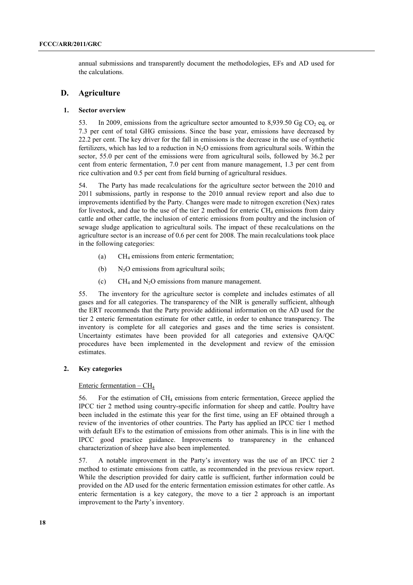annual submissions and transparently document the methodologies, EFs and AD used for the calculations.

# **D. Agriculture**

#### **1. Sector overview**

53. In 2009, emissions from the agriculture sector amounted to  $8.939.50$  Gg CO<sub>2</sub> eq. or 7.3 per cent of total GHG emissions. Since the base year, emissions have decreased by 22.2 per cent. The key driver for the fall in emissions is the decrease in the use of synthetic fertilizers, which has led to a reduction in  $N_2O$  emissions from agricultural soils. Within the sector, 55.0 per cent of the emissions were from agricultural soils, followed by 36.2 per cent from enteric fermentation, 7.0 per cent from manure management, 1.3 per cent from rice cultivation and 0.5 per cent from field burning of agricultural residues.

54. The Party has made recalculations for the agriculture sector between the 2010 and 2011 submissions, partly in response to the 2010 annual review report and also due to improvements identified by the Party. Changes were made to nitrogen excretion (Nex) rates for livestock, and due to the use of the tier 2 method for enteric  $CH_4$  emissions from dairy cattle and other cattle, the inclusion of enteric emissions from poultry and the inclusion of sewage sludge application to agricultural soils. The impact of these recalculations on the agriculture sector is an increase of 0.6 per cent for 2008. The main recalculations took place in the following categories:

- (a)  $CH<sub>4</sub>$  emissions from enteric fermentation:
- (b)  $N_2O$  emissions from agricultural soils;
- (c)  $CH_4$  and N<sub>2</sub>O emissions from manure management.

55. The inventory for the agriculture sector is complete and includes estimates of all gases and for all categories. The transparency of the NIR is generally sufficient, although the ERT recommends that the Party provide additional information on the AD used for the tier 2 enteric fermentation estimate for other cattle, in order to enhance transparency. The inventory is complete for all categories and gases and the time series is consistent. Uncertainty estimates have been provided for all categories and extensive QA/QC procedures have been implemented in the development and review of the emission estimates.

# **2. Key categories**

#### Enteric fermentation  $-$  CH<sub>4</sub>

56. For the estimation of CH4 emissions from enteric fermentation, Greece applied the IPCC tier 2 method using country-specific information for sheep and cattle. Poultry have been included in the estimate this year for the first time, using an EF obtained through a review of the inventories of other countries. The Party has applied an IPCC tier 1 method with default EFs to the estimation of emissions from other animals. This is in line with the IPCC good practice guidance. Improvements to transparency in the enhanced characterization of sheep have also been implemented.

57. A notable improvement in the Party's inventory was the use of an IPCC tier 2 method to estimate emissions from cattle, as recommended in the previous review report. While the description provided for dairy cattle is sufficient, further information could be provided on the AD used for the enteric fermentation emission estimates for other cattle. As enteric fermentation is a key category, the move to a tier 2 approach is an important improvement to the Party's inventory.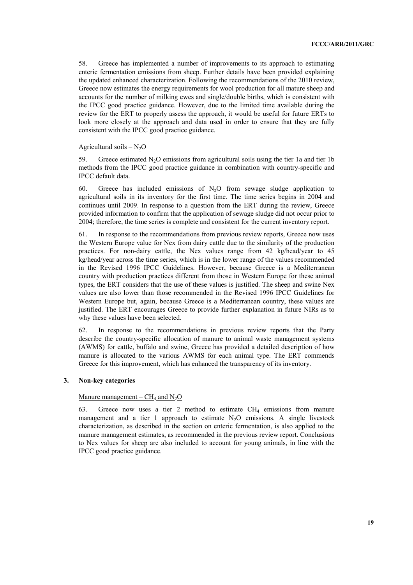58. Greece has implemented a number of improvements to its approach to estimating enteric fermentation emissions from sheep. Further details have been provided explaining the updated enhanced characterization. Following the recommendations of the 2010 review, Greece now estimates the energy requirements for wool production for all mature sheep and accounts for the number of milking ewes and single/double births, which is consistent with the IPCC good practice guidance. However, due to the limited time available during the review for the ERT to properly assess the approach, it would be useful for future ERTs to look more closely at the approach and data used in order to ensure that they are fully consistent with the IPCC good practice guidance.

#### Agricultural soils  $- N_2O$

59. Greece estimated  $N_2O$  emissions from agricultural soils using the tier 1a and tier 1b methods from the IPCC good practice guidance in combination with country-specific and IPCC default data.

60. Greece has included emissions of  $N_2O$  from sewage sludge application to agricultural soils in its inventory for the first time. The time series begins in 2004 and continues until 2009. In response to a question from the ERT during the review, Greece provided information to confirm that the application of sewage sludge did not occur prior to 2004; therefore, the time series is complete and consistent for the current inventory report.

61. In response to the recommendations from previous review reports, Greece now uses the Western Europe value for Nex from dairy cattle due to the similarity of the production practices. For non-dairy cattle, the Nex values range from 42 kg/head/year to 45 kg/head/year across the time series, which is in the lower range of the values recommended in the Revised 1996 IPCC Guidelines. However, because Greece is a Mediterranean country with production practices different from those in Western Europe for these animal types, the ERT considers that the use of these values is justified. The sheep and swine Nex values are also lower than those recommended in the Revised 1996 IPCC Guidelines for Western Europe but, again, because Greece is a Mediterranean country, these values are justified. The ERT encourages Greece to provide further explanation in future NIRs as to why these values have been selected.

62. In response to the recommendations in previous review reports that the Party describe the country-specific allocation of manure to animal waste management systems (AWMS) for cattle, buffalo and swine, Greece has provided a detailed description of how manure is allocated to the various AWMS for each animal type. The ERT commends Greece for this improvement, which has enhanced the transparency of its inventory.

#### **3. Non-key categories**

#### Manure management –  $CH_4$  and  $N_2O$

63. Greece now uses a tier 2 method to estimate  $CH_4$  emissions from manure management and a tier 1 approach to estimate  $N_2O$  emissions. A single livestock characterization, as described in the section on enteric fermentation, is also applied to the manure management estimates, as recommended in the previous review report. Conclusions to Nex values for sheep are also included to account for young animals, in line with the IPCC good practice guidance.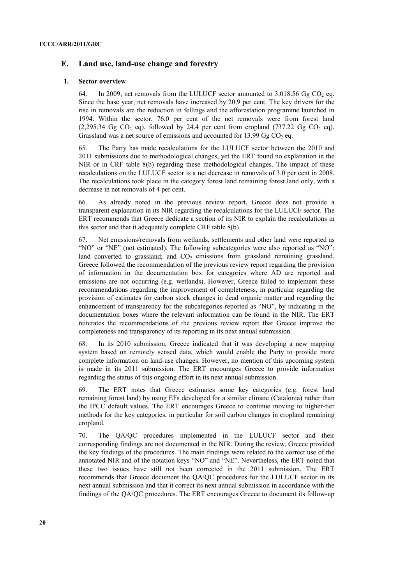# **E. Land use, land-use change and forestry**

#### **1. Sector overview**

64. In 2009, net removals from the LULUCF sector amounted to  $3.018.56$  Gg CO<sub>2</sub> eq. Since the base year, net removals have increased by 20.9 per cent. The key drivers for the rise in removals are the reduction in fellings and the afforestation programme launched in 1994. Within the sector, 76.0 per cent of the net removals were from forest land  $(2.295.34 \text{ Ge } CO_2 \text{ eq})$ , followed by 24.4 per cent from cropland  $(737.22 \text{ Ge } CO_2 \text{ eq})$ . Grassland was a net source of emissions and accounted for 13.99 Gg  $CO<sub>2</sub>$  eq.

65. The Party has made recalculations for the LULUCF sector between the 2010 and 2011 submissions due to methodological changes, yet the ERT found no explanation in the NIR or in CRF table 8(b) regarding these methodological changes. The impact of these recalculations on the LULUCF sector is a net decrease in removals of 3.0 per cent in 2008. The recalculations took place in the category forest land remaining forest land only, with a decrease in net removals of 4 per cent.

66. As already noted in the previous review report, Greece does not provide a transparent explanation in its NIR regarding the recalculations for the LULUCF sector. The ERT recommends that Greece dedicate a section of its NIR to explain the recalculations in this sector and that it adequately complete CRF table 8(b).

67. Net emissions/removals from wetlands, settlements and other land were reported as "NO" or "NE" (not estimated). The following subcategories were also reported as "NO": land converted to grassland; and  $CO<sub>2</sub>$  emissions from grassland remaining grassland. Greece followed the recommendation of the previous review report regarding the provision of information in the documentation box for categories where AD are reported and emissions are not occurring (e.g. wetlands). However, Greece failed to implement these recommendations regarding the improvement of completeness, in particular regarding the provision of estimates for carbon stock changes in dead organic matter and regarding the enhancement of transparency for the subcategories reported as "NO", by indicating in the documentation boxes where the relevant information can be found in the NIR. The ERT reiterates the recommendations of the previous review report that Greece improve the completeness and transparency of its reporting in its next annual submission.

68. In its 2010 submission, Greece indicated that it was developing a new mapping system based on remotely sensed data, which would enable the Party to provide more complete information on land-use changes. However, no mention of this upcoming system is made in its 2011 submission. The ERT encourages Greece to provide information regarding the status of this ongoing effort in its next annual submission.

69. The ERT notes that Greece estimates some key categories (e.g. forest land remaining forest land) by using EFs developed for a similar climate (Catalonia) rather than the IPCC default values. The ERT encourages Greece to continue moving to higher-tier methods for the key categories, in particular for soil carbon changes in cropland remaining cropland.

70. The QA/QC procedures implemented in the LULUCF sector and their corresponding findings are not documented in the NIR. During the review, Greece provided the key findings of the procedures. The main findings were related to the correct use of the annotated NIR and of the notation keys "NO" and "NE". Nevertheless, the ERT noted that these two issues have still not been corrected in the 2011 submission. The ERT recommends that Greece document the QA/QC procedures for the LULUCF sector in its next annual submission and that it correct its next annual submission in accordance with the findings of the QA/QC procedures. The ERT encourages Greece to document its follow-up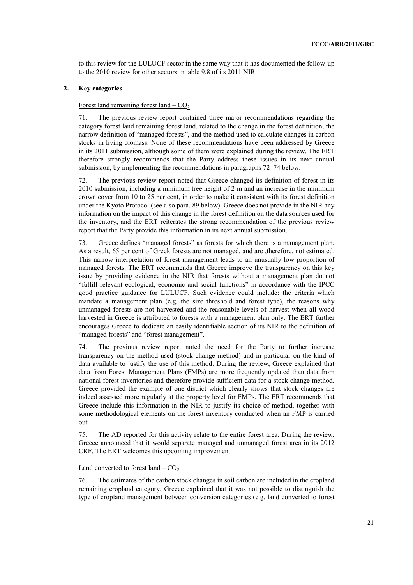to this review for the LULUCF sector in the same way that it has documented the follow-up to the 2010 review for other sectors in table 9.8 of its 2011 NIR.

# **2. Key categories**

#### Forest land remaining forest land  $-$  CO<sub>2</sub>

71. The previous review report contained three major recommendations regarding the category forest land remaining forest land, related to the change in the forest definition, the narrow definition of "managed forests", and the method used to calculate changes in carbon stocks in living biomass. None of these recommendations have been addressed by Greece in its 2011 submission, although some of them were explained during the review. The ERT therefore strongly recommends that the Party address these issues in its next annual submission, by implementing the recommendations in paragraphs 72–74 below.

72. The previous review report noted that Greece changed its definition of forest in its 2010 submission, including a minimum tree height of 2 m and an increase in the minimum crown cover from 10 to 25 per cent, in order to make it consistent with its forest definition under the Kyoto Protocol (see also para. 89 below). Greece does not provide in the NIR any information on the impact of this change in the forest definition on the data sources used for the inventory, and the ERT reiterates the strong recommendation of the previous review report that the Party provide this information in its next annual submission.

73. Greece defines "managed forests" as forests for which there is a management plan. As a result, 65 per cent of Greek forests are not managed, and are ,therefore, not estimated. This narrow interpretation of forest management leads to an unusually low proportion of managed forests. The ERT recommends that Greece improve the transparency on this key issue by providing evidence in the NIR that forests without a management plan do not "fulfill relevant ecological, economic and social functions" in accordance with the IPCC good practice guidance for LULUCF. Such evidence could include: the criteria which mandate a management plan (e.g. the size threshold and forest type), the reasons why unmanaged forests are not harvested and the reasonable levels of harvest when all wood harvested in Greece is attributed to forests with a management plan only. The ERT further encourages Greece to dedicate an easily identifiable section of its NIR to the definition of "managed forests" and "forest management".

74. The previous review report noted the need for the Party to further increase transparency on the method used (stock change method) and in particular on the kind of data available to justify the use of this method. During the review, Greece explained that data from Forest Management Plans (FMPs) are more frequently updated than data from national forest inventories and therefore provide sufficient data for a stock change method. Greece provided the example of one district which clearly shows that stock changes are indeed assessed more regularly at the property level for FMPs. The ERT recommends that Greece include this information in the NIR to justify its choice of method, together with some methodological elements on the forest inventory conducted when an FMP is carried out.

75. The AD reported for this activity relate to the entire forest area. During the review, Greece announced that it would separate managed and unmanaged forest area in its 2012 CRF. The ERT welcomes this upcoming improvement.

#### Land converted to forest land  $-$  CO<sub>2</sub>

76. The estimates of the carbon stock changes in soil carbon are included in the cropland remaining cropland category. Greece explained that it was not possible to distinguish the type of cropland management between conversion categories (e.g. land converted to forest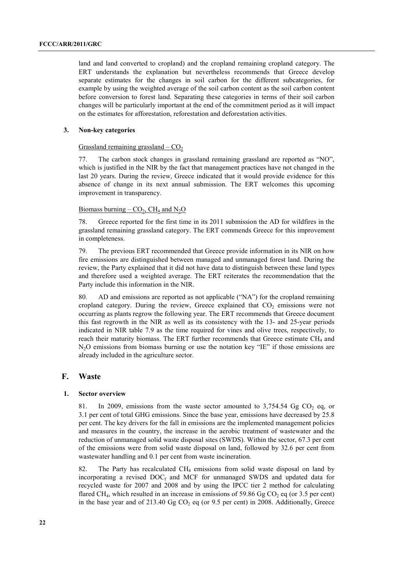land and land converted to cropland) and the cropland remaining cropland category. The ERT understands the explanation but nevertheless recommends that Greece develop separate estimates for the changes in soil carbon for the different subcategories, for example by using the weighted average of the soil carbon content as the soil carbon content before conversion to forest land. Separating these categories in terms of their soil carbon changes will be particularly important at the end of the commitment period as it will impact on the estimates for afforestation, reforestation and deforestation activities.

### **3. Non-key categories**

#### Grassland remaining grassland –  $CO<sub>2</sub>$

77. The carbon stock changes in grassland remaining grassland are reported as "NO", which is justified in the NIR by the fact that management practices have not changed in the last 20 years. During the review, Greece indicated that it would provide evidence for this absence of change in its next annual submission. The ERT welcomes this upcoming improvement in transparency.

### Biomass burning –  $CO<sub>2</sub>$ , CH<sub>4</sub> and N<sub>2</sub>O

78. Greece reported for the first time in its 2011 submission the AD for wildfires in the grassland remaining grassland category. The ERT commends Greece for this improvement in completeness.

79. The previous ERT recommended that Greece provide information in its NIR on how fire emissions are distinguished between managed and unmanaged forest land. During the review, the Party explained that it did not have data to distinguish between these land types and therefore used a weighted average. The ERT reiterates the recommendation that the Party include this information in the NIR.

80. AD and emissions are reported as not applicable ("NA") for the cropland remaining cropland category. During the review, Greece explained that  $CO<sub>2</sub>$  emissions were not occurring as plants regrow the following year. The ERT recommends that Greece document this fast regrowth in the NIR as well as its consistency with the 13- and 25-year periods indicated in NIR table 7.9 as the time required for vines and olive trees, respectively, to reach their maturity biomass. The ERT further recommends that Greece estimate CH<sub>4</sub> and N<sub>2</sub>O emissions from biomass burning or use the notation key "IE" if those emissions are already included in the agriculture sector.

# **F. Waste**

#### **1. Sector overview**

81. In 2009, emissions from the waste sector amounted to  $3,754.54$  Gg CO<sub>2</sub> eq, or 3.1 per cent of total GHG emissions. Since the base year, emissions have decreased by 25.8 per cent. The key drivers for the fall in emissions are the implemented management policies and measures in the country, the increase in the aerobic treatment of wastewater and the reduction of unmanaged solid waste disposal sites (SWDS). Within the sector, 67.3 per cent of the emissions were from solid waste disposal on land, followed by 32.6 per cent from wastewater handling and 0.1 per cent from waste incineration.

82. The Party has recalculated  $CH_4$  emissions from solid waste disposal on land by incorporating a revised  $DOC<sub>f</sub>$  and MCF for unmanaged SWDS and updated data for recycled waste for 2007 and 2008 and by using the IPCC tier 2 method for calculating flared CH<sub>4</sub>, which resulted in an increase in emissions of 59.86 Gg CO<sub>2</sub> eq (or 3.5 per cent) in the base year and of 213.40 Gg  $CO<sub>2</sub>$  eq (or 9.5 per cent) in 2008. Additionally, Greece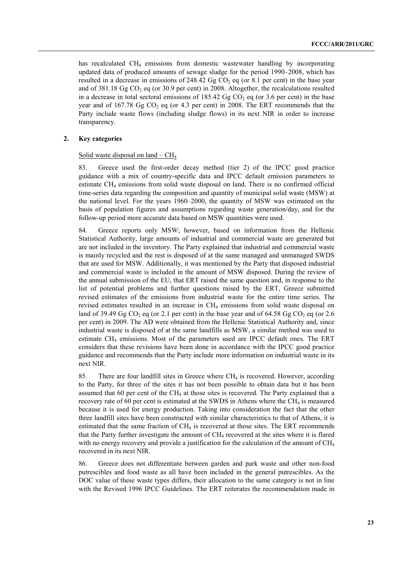has recalculated CH<sub>4</sub> emissions from domestic wastewater handling by incorporating updated data of produced amounts of sewage sludge for the period 1990–2008, which has resulted in a decrease in emissions of 248.42 Gg  $CO<sub>2</sub>$  eq (or 8.1 per cent) in the base year and of  $381.18$  Gg CO<sub>2</sub> eq (or  $30.9$  per cent) in 2008. Altogether, the recalculations resulted in a decrease in total sectoral emissions of  $185.42$  Gg CO<sub>2</sub> eq (or 3.6 per cent) in the base year and of 167.78 Gg  $CO<sub>2</sub>$  eq (or 4.3 per cent) in 2008. The ERT recommends that the Party include waste flows (including sludge flows) in its next NIR in order to increase transparency.

#### **2. Key categories**

#### Solid waste disposal on land –  $CH<sub>4</sub>$

83. Greece used the first-order decay method (tier 2) of the IPCC good practice guidance with a mix of country-specific data and IPCC default emission parameters to estimate CH4 emissions from solid waste disposal on land. There is no confirmed official time-series data regarding the composition and quantity of municipal solid waste (MSW) at the national level. For the years 1960–2000, the quantity of MSW was estimated on the basis of population figures and assumptions regarding waste generation/day, and for the follow-up period more accurate data based on MSW quantities were used.

84. Greece reports only MSW; however, based on information from the Hellenic Statistical Authority, large amounts of industrial and commercial waste are generated but are not included in the inventory. The Party explained that industrial and commercial waste is mainly recycled and the rest is disposed of at the same managed and unmanaged SWDS that are used for MSW. Additionally, it was mentioned by the Party that disposed industrial and commercial waste is included in the amount of MSW disposed. During the review of the annual submission of the EU, that ERT raised the same question and, in response to the list of potential problems and further questions raised by the ERT, Greece submitted revised estimates of the emissions from industrial waste for the entire time series. The revised estimates resulted in an increase in CH4 emissions from solid waste disposal on land of 39.49 Gg CO<sub>2</sub> eq (or 2.1 per cent) in the base year and of 64.58 Gg CO<sub>2</sub> eq (or 2.6 per cent) in 2009. The AD were obtained from the Hellenic Statistical Authority and, since industrial waste is disposed of at the same landfills as MSW, a similar method was used to estimate CH4 emissions. Most of the parameters used are IPCC default ones. The ERT considers that these revisions have been done in accordance with the IPCC good practice guidance and recommends that the Party include more information on industrial waste in its next NIR.

85. There are four landfill sites in Greece where  $CH<sub>4</sub>$  is recovered. However, according to the Party, for three of the sites it has not been possible to obtain data but it has been assumed that 60 per cent of the  $CH<sub>4</sub>$  at those sites is recovered. The Party explained that a recovery rate of 60 per cent is estimated at the SWDS in Athens where the  $CH_4$  is measured because it is used for energy production. Taking into consideration the fact that the other three landfill sites have been constructed with similar characteristics to that of Athens, it is estimated that the same fraction of  $CH<sub>4</sub>$  is recovered at those sites. The ERT recommends that the Party further investigate the amount of CH4 recovered at the sites where it is flared with no energy recovery and provide a justification for the calculation of the amount of  $CH<sub>4</sub>$ recovered in its next NIR.

86. Greece does not differentiate between garden and park waste and other non-food putrescibles and food waste as all have been included in the general putrescibles. As the DOC value of these waste types differs, their allocation to the same category is not in line with the Revised 1996 IPCC Guidelines. The ERT reiterates the recommendation made in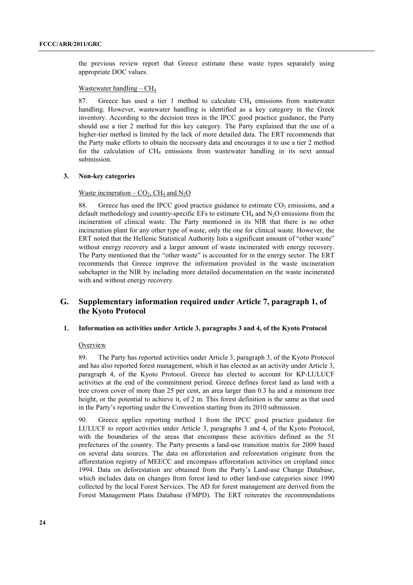the previous review report that Greece estimate these waste types separately using appropriate DOC values.

#### Wastewater handling  $-CH<sub>4</sub>$

87. Greece has used a tier 1 method to calculate  $CH_4$  emissions from wastewater handling. However, wastewater handling is identified as a key category in the Greek inventory. According to the decision trees in the IPCC good practice guidance, the Party should use a tier 2 method for this key category. The Party explained that the use of a higher-tier method is limited by the lack of more detailed data. The ERT recommends that the Party make efforts to obtain the necessary data and encourages it to use a tier 2 method for the calculation of  $CH_4$  emissions from wastewater handling in its next annual submission.

# **3. Non-key categories**

#### Waste incineration –  $CO<sub>2</sub>$ , CH<sub>4</sub> and N<sub>2</sub>O

88. Greece has used the IPCC good practice guidance to estimate  $CO<sub>2</sub>$  emissions, and a default methodology and country-specific EFs to estimate  $CH<sub>4</sub>$  and  $N<sub>2</sub>O$  emissions from the incineration of clinical waste. The Party mentioned in its NIR that there is no other incineration plant for any other type of waste, only the one for clinical waste. However, the ERT noted that the Hellenic Statistical Authority lists a significant amount of "other waste" without energy recovery and a larger amount of waste incinerated with energy recovery. The Party mentioned that the "other waste" is accounted for in the energy sector. The ERT recommends that Greece improve the information provided in the waste incineration subchapter in the NIR by including more detailed documentation on the waste incinerated with and without energy recovery.

# **G. Supplementary information required under Article 7, paragraph 1, of the Kyoto Protocol**

# **1. Information on activities under Article 3, paragraphs 3 and 4, of the Kyoto Protocol**

# **Overview**

89. The Party has reported activities under Article 3, paragraph 3, of the Kyoto Protocol and has also reported forest management, which it has elected as an activity under Article 3, paragraph 4, of the Kyoto Protocol. Greece has elected to account for KP-LULUCF activities at the end of the commitment period. Greece defines forest land as land with a tree crown cover of more than 25 per cent, an area larger than 0.3 ha and a minimum tree height, or the potential to achieve it, of 2 m. This forest definition is the same as that used in the Party's reporting under the Convention starting from its 2010 submission.

90. Greece applies reporting method 1 from the IPCC good practice guidance for LULUCF to report activities under Article 3, paragraphs 3 and 4, of the Kyoto Protocol, with the boundaries of the areas that encompass these activities defined as the 51 prefectures of the country. The Party presents a land-use transition matrix for 2009 based on several data sources. The data on afforestation and reforestation originate from the afforestation registry of MEECC and encompass afforestation activities on cropland since 1994. Data on deforestation are obtained from the Party's Land-use Change Database, which includes data on changes from forest land to other land-use categories since 1990 collected by the local Forest Services. The AD for forest management are derived from the Forest Management Plans Database (FMPD). The ERT reiterates the recommendations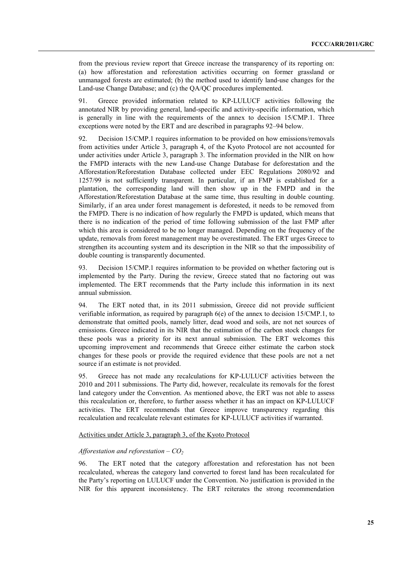from the previous review report that Greece increase the transparency of its reporting on: (a) how afforestation and reforestation activities occurring on former grassland or unmanaged forests are estimated; (b) the method used to identify land-use changes for the Land-use Change Database; and (c) the QA/QC procedures implemented.

91. Greece provided information related to KP-LULUCF activities following the annotated NIR by providing general, land-specific and activity-specific information, which is generally in line with the requirements of the annex to decision 15/CMP.1. Three exceptions were noted by the ERT and are described in paragraphs 92–94 below.

92. Decision 15/CMP.1 requires information to be provided on how emissions/removals from activities under Article 3, paragraph 4, of the Kyoto Protocol are not accounted for under activities under Article 3, paragraph 3. The information provided in the NIR on how the FMPD interacts with the new Land-use Change Database for deforestation and the Afforestation/Reforestation Database collected under EEC Regulations 2080/92 and 1257/99 is not sufficiently transparent. In particular, if an FMP is established for a plantation, the corresponding land will then show up in the FMPD and in the Afforestation/Reforestation Database at the same time, thus resulting in double counting. Similarly, if an area under forest management is deforested, it needs to be removed from the FMPD. There is no indication of how regularly the FMPD is updated, which means that there is no indication of the period of time following submission of the last FMP after which this area is considered to be no longer managed. Depending on the frequency of the update, removals from forest management may be overestimated. The ERT urges Greece to strengthen its accounting system and its description in the NIR so that the impossibility of double counting is transparently documented.

93. Decision 15/CMP.1 requires information to be provided on whether factoring out is implemented by the Party. During the review, Greece stated that no factoring out was implemented. The ERT recommends that the Party include this information in its next annual submission.

94. The ERT noted that, in its 2011 submission, Greece did not provide sufficient verifiable information, as required by paragraph  $6(e)$  of the annex to decision 15/CMP.1, to demonstrate that omitted pools, namely litter, dead wood and soils, are not net sources of emissions. Greece indicated in its NIR that the estimation of the carbon stock changes for these pools was a priority for its next annual submission. The ERT welcomes this upcoming improvement and recommends that Greece either estimate the carbon stock changes for these pools or provide the required evidence that these pools are not a net source if an estimate is not provided.

95. Greece has not made any recalculations for KP-LULUCF activities between the 2010 and 2011 submissions. The Party did, however, recalculate its removals for the forest land category under the Convention. As mentioned above, the ERT was not able to assess this recalculation or, therefore, to further assess whether it has an impact on KP-LULUCF activities. The ERT recommends that Greece improve transparency regarding this recalculation and recalculate relevant estimates for KP-LULUCF activities if warranted.

#### Activities under Article 3, paragraph 3, of the Kyoto Protocol

#### *Afforestation and reforestation – CO2*

96. The ERT noted that the category afforestation and reforestation has not been recalculated, whereas the category land converted to forest land has been recalculated for the Party's reporting on LULUCF under the Convention. No justification is provided in the NIR for this apparent inconsistency. The ERT reiterates the strong recommendation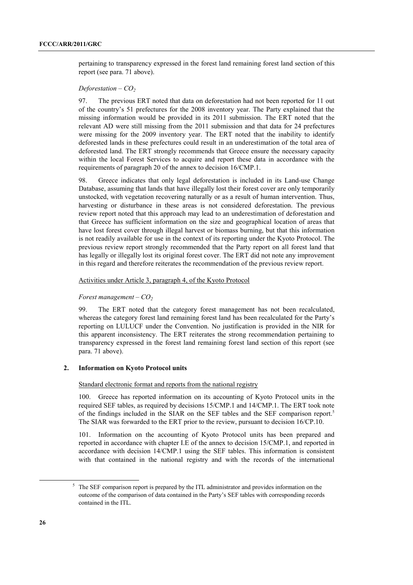pertaining to transparency expressed in the forest land remaining forest land section of this report (see para. 71 above).

#### *Deforestation – CO<sub>2</sub>*

97. The previous ERT noted that data on deforestation had not been reported for 11 out of the country's 51 prefectures for the 2008 inventory year. The Party explained that the missing information would be provided in its 2011 submission. The ERT noted that the relevant AD were still missing from the 2011 submission and that data for 24 prefectures were missing for the 2009 inventory year. The ERT noted that the inability to identify deforested lands in these prefectures could result in an underestimation of the total area of deforested land. The ERT strongly recommends that Greece ensure the necessary capacity within the local Forest Services to acquire and report these data in accordance with the requirements of paragraph 20 of the annex to decision 16/CMP.1.

98. Greece indicates that only legal deforestation is included in its Land-use Change Database, assuming that lands that have illegally lost their forest cover are only temporarily unstocked, with vegetation recovering naturally or as a result of human intervention. Thus, harvesting or disturbance in these areas is not considered deforestation. The previous review report noted that this approach may lead to an underestimation of deforestation and that Greece has sufficient information on the size and geographical location of areas that have lost forest cover through illegal harvest or biomass burning, but that this information is not readily available for use in the context of its reporting under the Kyoto Protocol. The previous review report strongly recommended that the Party report on all forest land that has legally or illegally lost its original forest cover. The ERT did not note any improvement in this regard and therefore reiterates the recommendation of the previous review report.

#### Activities under Article 3, paragraph 4, of the Kyoto Protocol

# *Forest management – CO2*

99. The ERT noted that the category forest management has not been recalculated, whereas the category forest land remaining forest land has been recalculated for the Party's reporting on LULUCF under the Convention. No justification is provided in the NIR for this apparent inconsistency. The ERT reiterates the strong recommendation pertaining to transparency expressed in the forest land remaining forest land section of this report (see para. 71 above).

#### **2. Information on Kyoto Protocol units**

#### Standard electronic format and reports from the national registry

100. Greece has reported information on its accounting of Kyoto Protocol units in the required SEF tables, as required by decisions 15/CMP.1 and 14/CMP.1. The ERT took note of the findings included in the SIAR on the SEF tables and the SEF comparison report.<sup>5</sup> The SIAR was forwarded to the ERT prior to the review, pursuant to decision 16/CP.10.

101. Information on the accounting of Kyoto Protocol units has been prepared and reported in accordance with chapter I.E of the annex to decision 15/CMP.1, and reported in accordance with decision 14/CMP.1 using the SEF tables. This information is consistent with that contained in the national registry and with the records of the international

 $\overline{\phantom{0}}$  The SEF comparison report is prepared by the ITL administrator and provides information on the outcome of the comparison of data contained in the Party's SEF tables with corresponding records contained in the ITL.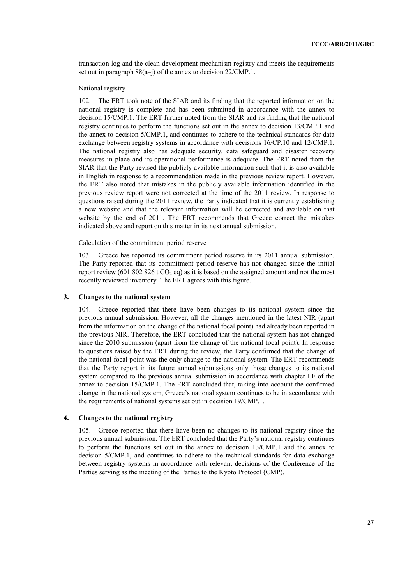transaction log and the clean development mechanism registry and meets the requirements set out in paragraph 88(a–j) of the annex to decision 22/CMP.1.

#### National registry

102. The ERT took note of the SIAR and its finding that the reported information on the national registry is complete and has been submitted in accordance with the annex to decision 15/CMP.1. The ERT further noted from the SIAR and its finding that the national registry continues to perform the functions set out in the annex to decision 13/CMP.1 and the annex to decision 5/CMP.1, and continues to adhere to the technical standards for data exchange between registry systems in accordance with decisions 16/CP.10 and 12/CMP.1. The national registry also has adequate security, data safeguard and disaster recovery measures in place and its operational performance is adequate. The ERT noted from the SIAR that the Party revised the publicly available information such that it is also available in English in response to a recommendation made in the previous review report. However, the ERT also noted that mistakes in the publicly available information identified in the previous review report were not corrected at the time of the 2011 review. In response to questions raised during the 2011 review, the Party indicated that it is currently establishing a new website and that the relevant information will be corrected and available on that website by the end of 2011. The ERT recommends that Greece correct the mistakes indicated above and report on this matter in its next annual submission.

#### Calculation of the commitment period reserve

103. Greece has reported its commitment period reserve in its 2011 annual submission. The Party reported that its commitment period reserve has not changed since the initial report review (601 802 826 t  $CO<sub>2</sub>$  eq) as it is based on the assigned amount and not the most recently reviewed inventory. The ERT agrees with this figure.

#### **3. Changes to the national system**

104. Greece reported that there have been changes to its national system since the previous annual submission. However, all the changes mentioned in the latest NIR (apart from the information on the change of the national focal point) had already been reported in the previous NIR. Therefore, the ERT concluded that the national system has not changed since the 2010 submission (apart from the change of the national focal point). In response to questions raised by the ERT during the review, the Party confirmed that the change of the national focal point was the only change to the national system. The ERT recommends that the Party report in its future annual submissions only those changes to its national system compared to the previous annual submission in accordance with chapter I.F of the annex to decision 15/CMP.1. The ERT concluded that, taking into account the confirmed change in the national system, Greece's national system continues to be in accordance with the requirements of national systems set out in decision 19/CMP.1.

#### **4. Changes to the national registry**

105. Greece reported that there have been no changes to its national registry since the previous annual submission. The ERT concluded that the Party's national registry continues to perform the functions set out in the annex to decision 13/CMP.1 and the annex to decision 5/CMP.1, and continues to adhere to the technical standards for data exchange between registry systems in accordance with relevant decisions of the Conference of the Parties serving as the meeting of the Parties to the Kyoto Protocol (CMP).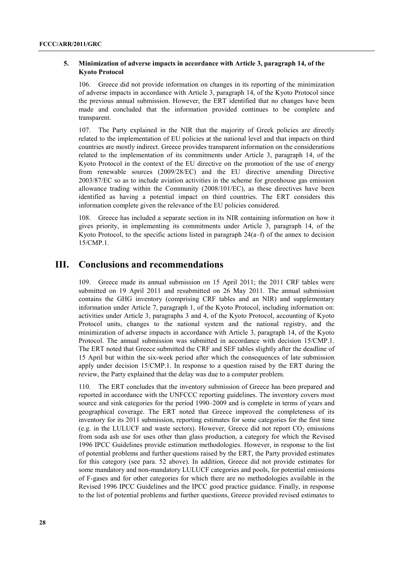# **5. Minimization of adverse impacts in accordance with Article 3, paragraph 14, of the Kyoto Protocol**

106. Greece did not provide information on changes in its reporting of the minimization of adverse impacts in accordance with Article 3, paragraph 14, of the Kyoto Protocol since the previous annual submission. However, the ERT identified that no changes have been made and concluded that the information provided continues to be complete and transparent.

107. The Party explained in the NIR that the majority of Greek policies are directly related to the implementation of EU policies at the national level and that impacts on third countries are mostly indirect. Greece provides transparent information on the considerations related to the implementation of its commitments under Article 3, paragraph 14, of the Kyoto Protocol in the context of the EU directive on the promotion of the use of energy from renewable sources (2009/28/EC) and the EU directive amending Directive 2003/87/EC so as to include aviation activities in the scheme for greenhouse gas emission allowance trading within the Community (2008/101/EC), as these directives have been identified as having a potential impact on third countries. The ERT considers this information complete given the relevance of the EU policies considered.

108. Greece has included a separate section in its NIR containing information on how it gives priority, in implementing its commitments under Article 3, paragraph 14, of the Kyoto Protocol, to the specific actions listed in paragraph  $24(a-f)$  of the annex to decision 15/CMP.1.

# **III. Conclusions and recommendations**

109. Greece made its annual submission on 15 April 2011; the 2011 CRF tables were submitted on 19 April 2011 and resubmitted on 26 May 2011. The annual submission contains the GHG inventory (comprising CRF tables and an NIR) and supplementary information under Article 7, paragraph 1, of the Kyoto Protocol, including information on: activities under Article 3, paragraphs 3 and 4, of the Kyoto Protocol, accounting of Kyoto Protocol units, changes to the national system and the national registry, and the minimization of adverse impacts in accordance with Article 3, paragraph 14, of the Kyoto Protocol. The annual submission was submitted in accordance with decision 15/CMP.1. The ERT noted that Greece submitted the CRF and SEF tables slightly after the deadline of 15 April but within the six-week period after which the consequences of late submission apply under decision 15/CMP.1. In response to a question raised by the ERT during the review, the Party explained that the delay was due to a computer problem.

110. The ERT concludes that the inventory submission of Greece has been prepared and reported in accordance with the UNFCCC reporting guidelines. The inventory covers most source and sink categories for the period 1990–2009 and is complete in terms of years and geographical coverage. The ERT noted that Greece improved the completeness of its inventory for its 2011 submission, reporting estimates for some categories for the first time (e.g. in the LULUCF and waste sectors). However, Greece did not report  $CO<sub>2</sub>$  emissions from soda ash use for uses other than glass production, a category for which the Revised 1996 IPCC Guidelines provide estimation methodologies. However, in response to the list of potential problems and further questions raised by the ERT, the Party provided estimates for this category (see para. 52 above). In addition, Greece did not provide estimates for some mandatory and non-mandatory LULUCF categories and pools, for potential emissions of F-gases and for other categories for which there are no methodologies available in the Revised 1996 IPCC Guidelines and the IPCC good practice guidance. Finally, in response to the list of potential problems and further questions, Greece provided revised estimates to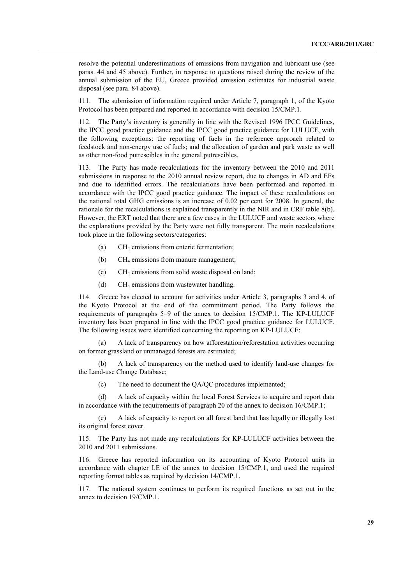resolve the potential underestimations of emissions from navigation and lubricant use (see paras. 44 and 45 above). Further, in response to questions raised during the review of the annual submission of the EU, Greece provided emission estimates for industrial waste disposal (see para. 84 above).

111. The submission of information required under Article 7, paragraph 1, of the Kyoto Protocol has been prepared and reported in accordance with decision 15/CMP.1.

112. The Party's inventory is generally in line with the Revised 1996 IPCC Guidelines, the IPCC good practice guidance and the IPCC good practice guidance for LULUCF, with the following exceptions: the reporting of fuels in the reference approach related to feedstock and non-energy use of fuels; and the allocation of garden and park waste as well as other non-food putrescibles in the general putrescibles.

113. The Party has made recalculations for the inventory between the 2010 and 2011 submissions in response to the 2010 annual review report, due to changes in AD and EFs and due to identified errors. The recalculations have been performed and reported in accordance with the IPCC good practice guidance. The impact of these recalculations on the national total GHG emissions is an increase of 0.02 per cent for 2008. In general, the rationale for the recalculations is explained transparently in the NIR and in CRF table 8(b). However, the ERT noted that there are a few cases in the LULUCF and waste sectors where the explanations provided by the Party were not fully transparent. The main recalculations took place in the following sectors/categories:

- (a) CH4 emissions from enteric fermentation;
- (b) CH4 emissions from manure management;
- (c) CH4 emissions from solid waste disposal on land;
- (d) CH4 emissions from wastewater handling.

114. Greece has elected to account for activities under Article 3, paragraphs 3 and 4, of the Kyoto Protocol at the end of the commitment period. The Party follows the requirements of paragraphs 5–9 of the annex to decision 15/CMP.1. The KP-LULUCF inventory has been prepared in line with the IPCC good practice guidance for LULUCF. The following issues were identified concerning the reporting on KP-LULUCF:

 (a) A lack of transparency on how afforestation/reforestation activities occurring on former grassland or unmanaged forests are estimated;

 (b) A lack of transparency on the method used to identify land-use changes for the Land-use Change Database;

(c) The need to document the QA/QC procedures implemented;

 (d) A lack of capacity within the local Forest Services to acquire and report data in accordance with the requirements of paragraph 20 of the annex to decision 16/CMP.1;

 (e) A lack of capacity to report on all forest land that has legally or illegally lost its original forest cover.

115. The Party has not made any recalculations for KP-LULUCF activities between the 2010 and 2011 submissions.

116. Greece has reported information on its accounting of Kyoto Protocol units in accordance with chapter I.E of the annex to decision 15/CMP.1, and used the required reporting format tables as required by decision 14/CMP.1.

117. The national system continues to perform its required functions as set out in the annex to decision 19/CMP.1.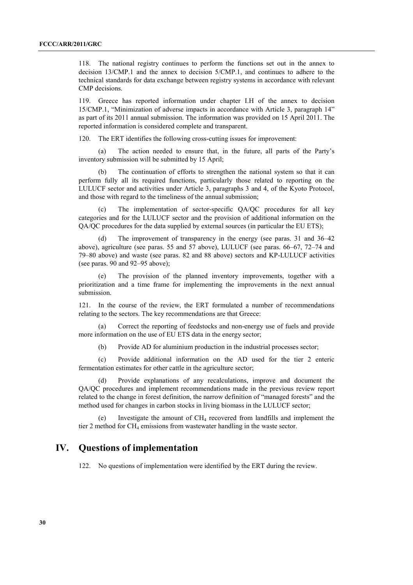118. The national registry continues to perform the functions set out in the annex to decision 13/CMP.1 and the annex to decision 5/CMP.1, and continues to adhere to the technical standards for data exchange between registry systems in accordance with relevant CMP decisions.

119. Greece has reported information under chapter I.H of the annex to decision 15/CMP.1, "Minimization of adverse impacts in accordance with Article 3, paragraph 14" as part of its 2011 annual submission. The information was provided on 15 April 2011. The reported information is considered complete and transparent.

120. The ERT identifies the following cross-cutting issues for improvement:

 (a) The action needed to ensure that, in the future, all parts of the Party's inventory submission will be submitted by 15 April;

 (b) The continuation of efforts to strengthen the national system so that it can perform fully all its required functions, particularly those related to reporting on the LULUCF sector and activities under Article 3, paragraphs 3 and 4, of the Kyoto Protocol, and those with regard to the timeliness of the annual submission;

 (c) The implementation of sector-specific QA/QC procedures for all key categories and for the LULUCF sector and the provision of additional information on the QA/QC procedures for the data supplied by external sources (in particular the EU ETS);

 (d) The improvement of transparency in the energy (see paras. 31 and 36–42 above), agriculture (see paras. 55 and 57 above), LULUCF (see paras. 66–67, 72–74 and 79–80 above) and waste (see paras. 82 and 88 above) sectors and KP-LULUCF activities (see paras. 90 and 92–95 above);

 (e) The provision of the planned inventory improvements, together with a prioritization and a time frame for implementing the improvements in the next annual submission.

121. In the course of the review, the ERT formulated a number of recommendations relating to the sectors. The key recommendations are that Greece:

Correct the reporting of feedstocks and non-energy use of fuels and provide more information on the use of EU ETS data in the energy sector;

(b) Provide AD for aluminium production in the industrial processes sector;

 (c) Provide additional information on the AD used for the tier 2 enteric fermentation estimates for other cattle in the agriculture sector;

 (d) Provide explanations of any recalculations, improve and document the QA/QC procedures and implement recommendations made in the previous review report related to the change in forest definition, the narrow definition of "managed forests" and the method used for changes in carbon stocks in living biomass in the LULUCF sector;

Investigate the amount of  $CH_4$  recovered from landfills and implement the tier 2 method for CH<sub>4</sub> emissions from wastewater handling in the waste sector.

# **IV. Questions of implementation**

122. No questions of implementation were identified by the ERT during the review.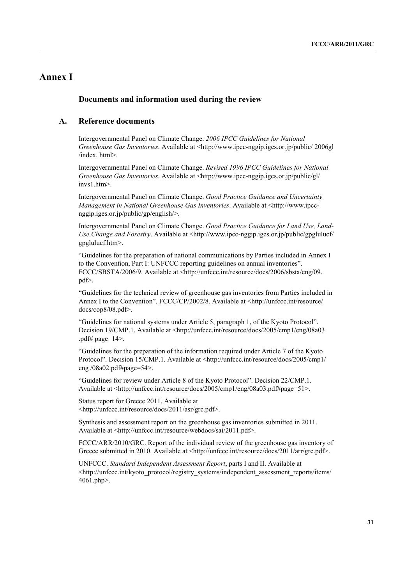# **Annex I**

# **Documents and information used during the review**

# **A. Reference documents**

Intergovernmental Panel on Climate Change. *2006 IPCC Guidelines for National Greenhouse Gas Inventories*. Available at <http://www.ipcc-nggip.iges.or.jp/public/ 2006gl /index. html>.

Intergovernmental Panel on Climate Change. *Revised 1996 IPCC Guidelines for National Greenhouse Gas Inventories*. Available at <http://www.ipcc-nggip.iges.or.jp/public/gl/ invs1.htm>

Intergovernmental Panel on Climate Change. *Good Practice Guidance and Uncertainty Management in National Greenhouse Gas Inventories*. Available at <http://www.ipccnggip.iges.or.jp/public/gp/english/>.

Intergovernmental Panel on Climate Change. *Good Practice Guidance for Land Use, Land-Use Change and Forestry*. Available at <http://www.ipcc-nggip.iges.or.jp/public/gpglulucf/ gpglulucf.htm>.

"Guidelines for the preparation of national communications by Parties included in Annex I to the Convention, Part I: UNFCCC reporting guidelines on annual inventories". FCCC/SBSTA/2006/9. Available at <http://unfccc.int/resource/docs/2006/sbsta/eng/09. pdf>.

"Guidelines for the technical review of greenhouse gas inventories from Parties included in Annex I to the Convention". FCCC/CP/2002/8. Available at <http://unfccc.int/resource/ docs/cop8/08.pdf>.

"Guidelines for national systems under Article 5, paragraph 1, of the Kyoto Protocol". Decision 19/CMP.1. Available at <http://unfccc.int/resource/docs/2005/cmp1/eng/08a03 .pdf# page= $14$ >.

"Guidelines for the preparation of the information required under Article 7 of the Kyoto Protocol". Decision 15/CMP.1. Available at <http://unfccc.int/resource/docs/2005/cmp1/ eng /08a02.pdf#page=54>.

"Guidelines for review under Article 8 of the Kyoto Protocol". Decision 22/CMP.1. Available at <http://unfccc.int/resource/docs/2005/cmp1/eng/08a03.pdf#page=51>.

Status report for Greece 2011. Available at <http://unfccc.int/resource/docs/2011/asr/grc.pdf>.

Synthesis and assessment report on the greenhouse gas inventories submitted in 2011. Available at <http://unfccc.int/resource/webdocs/sai/2011.pdf>.

FCCC/ARR/2010/GRC. Report of the individual review of the greenhouse gas inventory of Greece submitted in 2010. Available at <http://unfccc.int/resource/docs/2011/arr/grc.pdf>.

UNFCCC. *Standard Independent Assessment Report*, parts I and II. Available at <http://unfccc.int/kyoto\_protocol/registry\_systems/independent\_assessment\_reports/items/ 4061.php>.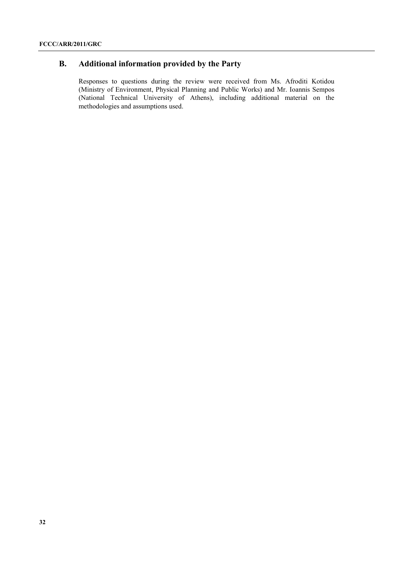# **B. Additional information provided by the Party**

Responses to questions during the review were received from Ms. Afroditi Kotidou (Ministry of Environment, Physical Planning and Public Works) and Mr. Ioannis Sempos (National Technical University of Athens), including additional material on the methodologies and assumptions used.